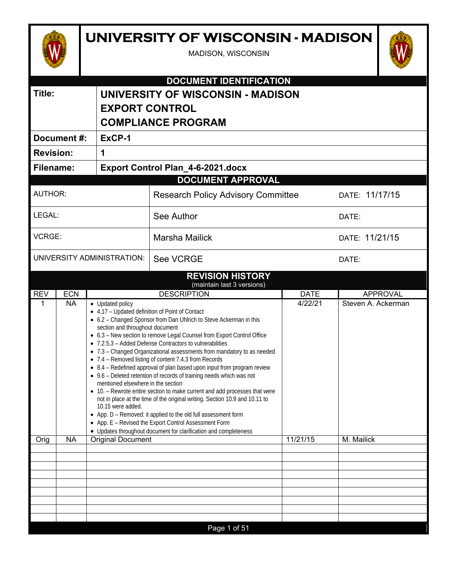# **UNIVERSITY OF WISCONSIN - MADISON**

MADISON, WISCONSIN



| 1               |  |  |  |
|-----------------|--|--|--|
|                 |  |  |  |
|                 |  |  |  |
| DATE: 11/17/15  |  |  |  |
| DATE:           |  |  |  |
| DATE: 11/21/15  |  |  |  |
|                 |  |  |  |
|                 |  |  |  |
| <b>APPROVAL</b> |  |  |  |
|                 |  |  |  |

| <b>REV</b> | ECN       | <b>DESCRIPTION</b>                                                                                                                                                                                                                                                                                                                                                                                                                                                                                                                                                                                                                                                                                                                                                                                                                                                                                                                                                                                                              | DATE     | APPROVAL           |
|------------|-----------|---------------------------------------------------------------------------------------------------------------------------------------------------------------------------------------------------------------------------------------------------------------------------------------------------------------------------------------------------------------------------------------------------------------------------------------------------------------------------------------------------------------------------------------------------------------------------------------------------------------------------------------------------------------------------------------------------------------------------------------------------------------------------------------------------------------------------------------------------------------------------------------------------------------------------------------------------------------------------------------------------------------------------------|----------|--------------------|
| 1          | <b>NA</b> | • Updated policy<br>• 4.17 - Updated definition of Point of Contact<br>• 6.2 - Changed Sponsor from Dan Uhlrich to Steve Ackerman in this<br>section and throughout document<br>• 6.3 - New section to remove Legal Counsel from Export Control Office<br>• 7.2.5.3 – Added Defense Contractors to vulnerabilities<br>• 7.3 - Changed Organizational assessments from mandatory to as needed<br>• 7.4 – Removed listing of content 7.4.3 from Records<br>• 8.4 - Redefined approval of plan based upon input from program review<br>• 9.6 - Deleted retention of records of training needs which was not<br>mentioned elsewhere in the section<br>• 10. - Rewrote entire section to make current and add processes that were<br>not in place at the time of the original writing. Section 10.9 and 10.11 to<br>10.15 were added.<br>• App. D - Removed: it applied to the old full assessment form<br>• App. E - Revised the Export Control Assessment Form<br>• Updates throughout document for clarification and completeness | 4/22/21  | Steven A. Ackerman |
| Orig       | <b>NA</b> | <b>Original Document</b>                                                                                                                                                                                                                                                                                                                                                                                                                                                                                                                                                                                                                                                                                                                                                                                                                                                                                                                                                                                                        | 11/21/15 | M. Mailick         |
|            |           |                                                                                                                                                                                                                                                                                                                                                                                                                                                                                                                                                                                                                                                                                                                                                                                                                                                                                                                                                                                                                                 |          |                    |
|            |           |                                                                                                                                                                                                                                                                                                                                                                                                                                                                                                                                                                                                                                                                                                                                                                                                                                                                                                                                                                                                                                 |          |                    |
|            |           |                                                                                                                                                                                                                                                                                                                                                                                                                                                                                                                                                                                                                                                                                                                                                                                                                                                                                                                                                                                                                                 |          |                    |
|            |           |                                                                                                                                                                                                                                                                                                                                                                                                                                                                                                                                                                                                                                                                                                                                                                                                                                                                                                                                                                                                                                 |          |                    |
|            |           |                                                                                                                                                                                                                                                                                                                                                                                                                                                                                                                                                                                                                                                                                                                                                                                                                                                                                                                                                                                                                                 |          |                    |
|            |           |                                                                                                                                                                                                                                                                                                                                                                                                                                                                                                                                                                                                                                                                                                                                                                                                                                                                                                                                                                                                                                 |          |                    |
|            |           |                                                                                                                                                                                                                                                                                                                                                                                                                                                                                                                                                                                                                                                                                                                                                                                                                                                                                                                                                                                                                                 |          |                    |
|            |           |                                                                                                                                                                                                                                                                                                                                                                                                                                                                                                                                                                                                                                                                                                                                                                                                                                                                                                                                                                                                                                 |          |                    |
|            |           | Page 1 of 51                                                                                                                                                                                                                                                                                                                                                                                                                                                                                                                                                                                                                                                                                                                                                                                                                                                                                                                                                                                                                    |          |                    |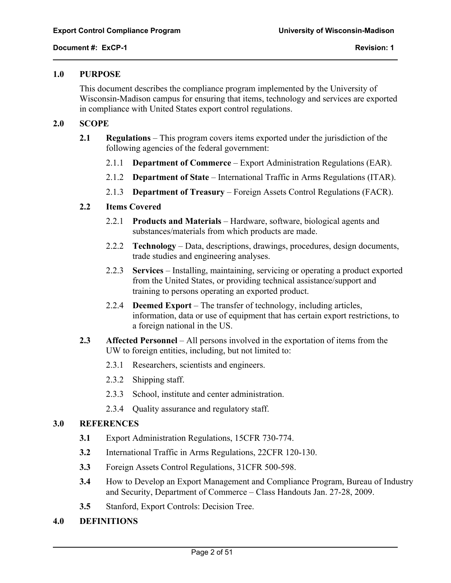#### **1.0 PURPOSE**

This document describes the compliance program implemented by the University of Wisconsin-Madison campus for ensuring that items, technology and services are exported in compliance with United States export control regulations.

# **2.0 SCOPE**

- **2.1 Regulations** This program covers items exported under the jurisdiction of the following agencies of the federal government:
	- 2.1.1 **Department of Commerce** Export Administration Regulations (EAR).
	- 2.1.2 **Department of State** International Traffic in Arms Regulations (ITAR).
	- 2.1.3 **Department of Treasury** Foreign Assets Control Regulations (FACR).

# **2.2 Items Covered**

- 2.2.1 **Products and Materials** Hardware, software, biological agents and substances/materials from which products are made.
- 2.2.2 **Technology** Data, descriptions, drawings, procedures, design documents, trade studies and engineering analyses.
- 2.2.3 **Services** Installing, maintaining, servicing or operating a product exported from the United States, or providing technical assistance/support and training to persons operating an exported product.
- 2.2.4 **Deemed Export** The transfer of technology, including articles, information, data or use of equipment that has certain export restrictions, to a foreign national in the US.
- **2.3 Affected Personnel** All persons involved in the exportation of items from the UW to foreign entities, including, but not limited to:
	- 2.3.1 Researchers, scientists and engineers.
	- 2.3.2 Shipping staff.
	- 2.3.3 School, institute and center administration.
	- 2.3.4 Quality assurance and regulatory staff.

# **3.0 REFERENCES**

- **3.1** Export Administration Regulations, 15CFR 730-774.
- **3.2** International Traffic in Arms Regulations, 22CFR 120-130.
- **3.3** Foreign Assets Control Regulations, 31CFR 500-598.
- **3.4** How to Develop an Export Management and Compliance Program, Bureau of Industry and Security, Department of Commerce – Class Handouts Jan. 27-28, 2009.
- **3.5** Stanford, Export Controls: Decision Tree.

# **4.0 DEFINITIONS**

 $\overline{a}$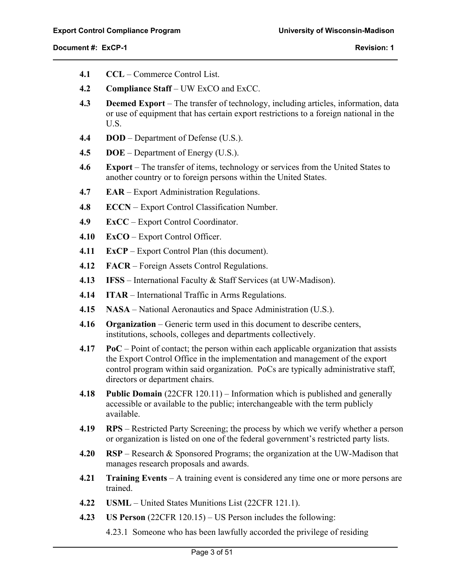$\overline{a}$ 

- **4.1 CCL**  Commerce Control List.
- **4.2 Compliance Staff** UW ExCO and ExCC.
- **4.3 Deemed Export** The transfer of technology, including articles, information, data or use of equipment that has certain export restrictions to a foreign national in the U.S.
- **4.4 DOD** Department of Defense (U.S.).
- **4.5 DOE** Department of Energy (U.S.).
- **4.6 Export** The transfer of items, technology or services from the United States to another country or to foreign persons within the United States.
- **4.7 EAR** Export Administration Regulations.
- **4.8 ECCN**  Export Control Classification Number.
- **4.9 ExCC**  Export Control Coordinator.
- **4.10 ExCO**  Export Control Officer.
- **4.11 ExCP**  Export Control Plan (this document).
- **4.12 FACR** Foreign Assets Control Regulations.
- **4.13 IFSS**  International Faculty & Staff Services (at UW-Madison).
- **4.14 ITAR** International Traffic in Arms Regulations.
- **4.15 NASA** National Aeronautics and Space Administration (U.S.).
- **4.16 Organization**  Generic term used in this document to describe centers, institutions, schools, colleges and departments collectively.
- **4.17 PoC** Point of contact; the person within each applicable organization that assists the Export Control Office in the implementation and management of the export control program within said organization. PoCs are typically administrative staff, directors or department chairs.
- **4.18 Public Domain** (22CFR 120.11) Information which is published and generally accessible or available to the public; interchangeable with the term publicly available.
- **4.19 RPS** Restricted Party Screening; the process by which we verify whether a person or organization is listed on one of the federal government's restricted party lists.
- **4.20 RSP**  Research & Sponsored Programs; the organization at the UW-Madison that manages research proposals and awards.
- **4.21 Training Events** A training event is considered any time one or more persons are trained.
- **4.22 USML** United States Munitions List (22CFR 121.1).
- **4.23 US Person** (22CFR 120.15) US Person includes the following:
	- 4.23.1 Someone who has been lawfully accorded the privilege of residing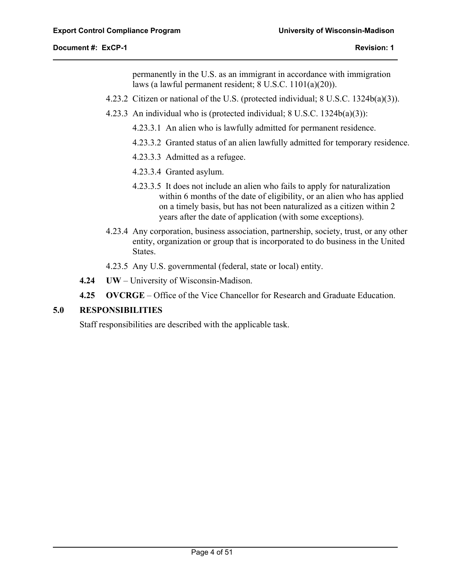$\overline{a}$ 

permanently in the U.S. as an immigrant in accordance with immigration laws (a lawful permanent resident; 8 U.S.C. 1101(a)(20)).

- 4.23.2 Citizen or national of the U.S. (protected individual; 8 U.S.C. 1324b(a)(3)).
- 4.23.3 An individual who is (protected individual; 8 U.S.C. 1324b(a)(3)):
	- 4.23.3.1 An alien who is lawfully admitted for permanent residence.
	- 4.23.3.2 Granted status of an alien lawfully admitted for temporary residence.
	- 4.23.3.3 Admitted as a refugee.
	- 4.23.3.4 Granted asylum.
	- 4.23.3.5 It does not include an alien who fails to apply for naturalization within 6 months of the date of eligibility, or an alien who has applied on a timely basis, but has not been naturalized as a citizen within 2 years after the date of application (with some exceptions).
- 4.23.4 Any corporation, business association, partnership, society, trust, or any other entity, organization or group that is incorporated to do business in the United States.
- 4.23.5 Any U.S. governmental (federal, state or local) entity.
- **4.24 UW**  University of Wisconsin-Madison.
- **4.25 OVCRGE** Office of the Vice Chancellor for Research and Graduate Education.

# **5.0 RESPONSIBILITIES**

Staff responsibilities are described with the applicable task.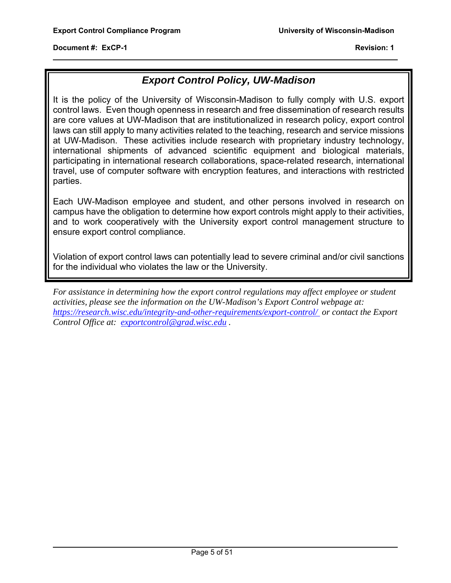$\overline{a}$ 

# *Export Control Policy, UW-Madison*

It is the policy of the University of Wisconsin-Madison to fully comply with U.S. export control laws. Even though openness in research and free dissemination of research results are core values at UW-Madison that are institutionalized in research policy, export control laws can still apply to many activities related to the teaching, research and service missions at UW-Madison. These activities include research with proprietary industry technology, international shipments of advanced scientific equipment and biological materials, participating in international research collaborations, space-related research, international travel, use of computer software with encryption features, and interactions with restricted parties.

Each UW-Madison employee and student, and other persons involved in research on campus have the obligation to determine how export controls might apply to their activities, and to work cooperatively with the University export control management structure to ensure export control compliance.

Violation of export control laws can potentially lead to severe criminal and/or civil sanctions for the individual who violates the law or the University.

*For assistance in determining how the export control regulations may affect employee or student activities, please see the information on the UW-Madison's Export Control webpage at: https://research.wisc.edu/integrity-and-other-requirements/export-control/ or contact the Export Control Office at: exportcontrol@grad.wisc.edu .*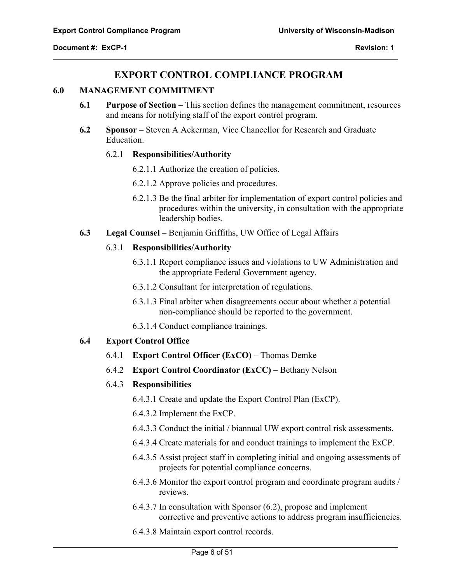$\overline{a}$ 

# **EXPORT CONTROL COMPLIANCE PROGRAM**

#### **6.0 MANAGEMENT COMMITMENT**

- **6.1 Purpose of Section** This section defines the management commitment, resources and means for notifying staff of the export control program.
- **6.2 Sponsor** Steven A Ackerman, Vice Chancellor for Research and Graduate Education.

# 6.2.1 **Responsibilities/Authority**

- 6.2.1.1 Authorize the creation of policies.
- 6.2.1.2 Approve policies and procedures.
- 6.2.1.3 Be the final arbiter for implementation of export control policies and procedures within the university, in consultation with the appropriate leadership bodies.
- **6.3 Legal Counsel** Benjamin Griffiths, UW Office of Legal Affairs

#### 6.3.1 **Responsibilities/Authority**

- 6.3.1.1 Report compliance issues and violations to UW Administration and the appropriate Federal Government agency.
- 6.3.1.2 Consultant for interpretation of regulations.
- 6.3.1.3 Final arbiter when disagreements occur about whether a potential non-compliance should be reported to the government.
- 6.3.1.4 Conduct compliance trainings.

# **6.4 Export Control Office**

- 6.4.1 **Export Control Officer (ExCO)** Thomas Demke
- 6.4.2 **Export Control Coordinator (ExCC)** Bethany Nelson

#### 6.4.3 **Responsibilities**

6.4.3.1 Create and update the Export Control Plan (ExCP).

6.4.3.2 Implement the ExCP.

- 6.4.3.3 Conduct the initial / biannual UW export control risk assessments.
- 6.4.3.4 Create materials for and conduct trainings to implement the ExCP.
- 6.4.3.5 Assist project staff in completing initial and ongoing assessments of projects for potential compliance concerns.
- 6.4.3.6 Monitor the export control program and coordinate program audits / reviews.
- 6.4.3.7 In consultation with Sponsor (6.2), propose and implement corrective and preventive actions to address program insufficiencies.
- 6.4.3.8 Maintain export control records.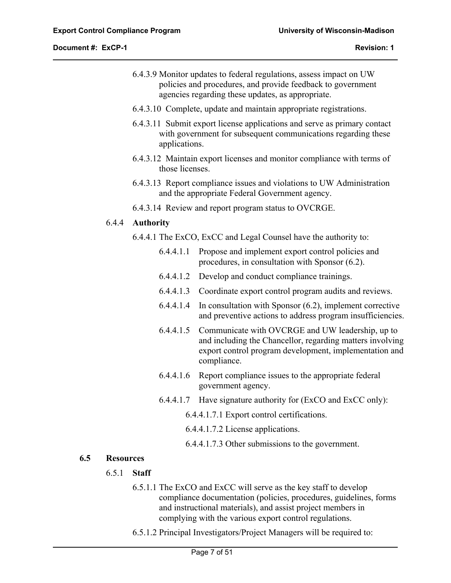- 6.4.3.9 Monitor updates to federal regulations, assess impact on UW policies and procedures, and provide feedback to government agencies regarding these updates, as appropriate.
- 6.4.3.10 Complete, update and maintain appropriate registrations.
- 6.4.3.11 Submit export license applications and serve as primary contact with government for subsequent communications regarding these applications.
- 6.4.3.12 Maintain export licenses and monitor compliance with terms of those licenses.
- 6.4.3.13 Report compliance issues and violations to UW Administration and the appropriate Federal Government agency.
- 6.4.3.14 Review and report program status to OVCRGE.

#### 6.4.4 **Authority**

- 6.4.4.1 The ExCO, ExCC and Legal Counsel have the authority to:
	- 6.4.4.1.1 Propose and implement export control policies and procedures, in consultation with Sponsor (6.2).
	- 6.4.4.1.2 Develop and conduct compliance trainings.
	- 6.4.4.1.3 Coordinate export control program audits and reviews.
	- 6.4.4.1.4 In consultation with Sponsor (6.2), implement corrective and preventive actions to address program insufficiencies.
	- 6.4.4.1.5 Communicate with OVCRGE and UW leadership, up to and including the Chancellor, regarding matters involving export control program development, implementation and compliance.
	- 6.4.4.1.6 Report compliance issues to the appropriate federal government agency.
	- 6.4.4.1.7 Have signature authority for (ExCO and ExCC only):

6.4.4.1.7.1 Export control certifications.

6.4.4.1.7.2 License applications.

6.4.4.1.7.3 Other submissions to the government.

# **6.5 Resources**

 $\overline{a}$ 

- 6.5.1 **Staff** 
	- 6.5.1.1 The ExCO and ExCC will serve as the key staff to develop compliance documentation (policies, procedures, guidelines, forms and instructional materials), and assist project members in complying with the various export control regulations.
	- 6.5.1.2 Principal Investigators/Project Managers will be required to: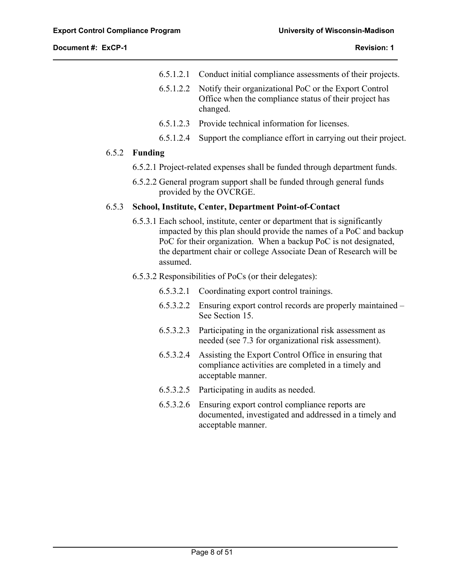$\overline{a}$ 

- 6.5.1.2.1 Conduct initial compliance assessments of their projects.
- 6.5.1.2.2 Notify their organizational PoC or the Export Control Office when the compliance status of their project has changed.
- 6.5.1.2.3 Provide technical information for licenses.
- 6.5.1.2.4 Support the compliance effort in carrying out their project.

#### 6.5.2 **Funding**

- 6.5.2.1 Project-related expenses shall be funded through department funds.
- 6.5.2.2 General program support shall be funded through general funds provided by the OVCRGE.

# 6.5.3 **School, Institute, Center, Department Point-of-Contact**

6.5.3.1 Each school, institute, center or department that is significantly impacted by this plan should provide the names of a PoC and backup PoC for their organization. When a backup PoC is not designated, the department chair or college Associate Dean of Research will be assumed.

#### 6.5.3.2 Responsibilities of PoCs (or their delegates):

- 6.5.3.2.1 Coordinating export control trainings.
- 6.5.3.2.2 Ensuring export control records are properly maintained See Section 15.
- 6.5.3.2.3 Participating in the organizational risk assessment as needed (see 7.3 for organizational risk assessment).
- 6.5.3.2.4 Assisting the Export Control Office in ensuring that compliance activities are completed in a timely and acceptable manner.
- 6.5.3.2.5 Participating in audits as needed.
- 6.5.3.2.6 Ensuring export control compliance reports are documented, investigated and addressed in a timely and acceptable manner.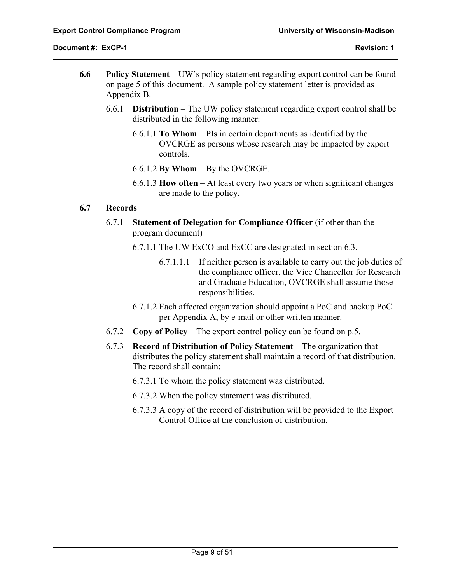$\overline{a}$ 

- **6.6 Policy Statement** UW's policy statement regarding export control can be found on page 5 of this document. A sample policy statement letter is provided as Appendix B.
	- 6.6.1 **Distribution** The UW policy statement regarding export control shall be distributed in the following manner:
		- 6.6.1.1 **To Whom** PIs in certain departments as identified by the OVCRGE as persons whose research may be impacted by export controls.
		- 6.6.1.2 **By Whom** By the OVCRGE.
		- 6.6.1.3 **How often** At least every two years or when significant changes are made to the policy.

# **6.7 Records**

- 6.7.1 **Statement of Delegation for Compliance Officer** (if other than the program document)
	- 6.7.1.1 The UW ExCO and ExCC are designated in section 6.3.
		- 6.7.1.1.1 If neither person is available to carry out the job duties of the compliance officer, the Vice Chancellor for Research and Graduate Education, OVCRGE shall assume those responsibilities.
	- 6.7.1.2 Each affected organization should appoint a PoC and backup PoC per Appendix A, by e-mail or other written manner.
- 6.7.2 **Copy of Policy** The export control policy can be found on p.5.
- 6.7.3 **Record of Distribution of Policy Statement** The organization that distributes the policy statement shall maintain a record of that distribution. The record shall contain:
	- 6.7.3.1 To whom the policy statement was distributed.
	- 6.7.3.2 When the policy statement was distributed.
	- 6.7.3.3 A copy of the record of distribution will be provided to the Export Control Office at the conclusion of distribution.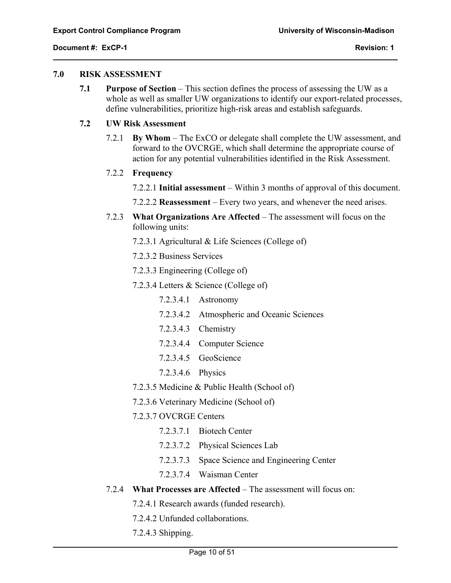$\overline{a}$ 

#### **7.0 RISK ASSESSMENT**

**7.1 Purpose of Section** – This section defines the process of assessing the UW as a whole as well as smaller UW organizations to identify our export-related processes, define vulnerabilities, prioritize high-risk areas and establish safeguards.

# **7.2 UW Risk Assessment**

7.2.1 **By Whom** – The ExCO or delegate shall complete the UW assessment, and forward to the OVCRGE, which shall determine the appropriate course of action for any potential vulnerabilities identified in the Risk Assessment.

#### 7.2.2 **Frequency**

- 7.2.2.1 **Initial assessment** Within 3 months of approval of this document.
- 7.2.2.2 **Reassessment** Every two years, and whenever the need arises.
- 7.2.3 **What Organizations Are Affected** The assessment will focus on the following units:
	- 7.2.3.1 Agricultural & Life Sciences (College of)
	- 7.2.3.2 Business Services
	- 7.2.3.3 Engineering (College of)
	- 7.2.3.4 Letters & Science (College of)
		- 7.2.3.4.1 Astronomy
		- 7.2.3.4.2 Atmospheric and Oceanic Sciences
		- 7.2.3.4.3 Chemistry
		- 7.2.3.4.4 Computer Science
		- 7.2.3.4.5 GeoScience
		- 7.2.3.4.6 Physics
	- 7.2.3.5 Medicine & Public Health (School of)
	- 7.2.3.6 Veterinary Medicine (School of)
	- 7.2.3.7 OVCRGE Centers
		- 7.2.3.7.1 Biotech Center
		- 7.2.3.7.2 Physical Sciences Lab
		- 7.2.3.7.3 Space Science and Engineering Center
		- 7.2.3.7.4 Waisman Center
- 7.2.4 **What Processes are Affected** The assessment will focus on:
	- 7.2.4.1 Research awards (funded research).
	- 7.2.4.2 Unfunded collaborations.
	- 7.2.4.3 Shipping.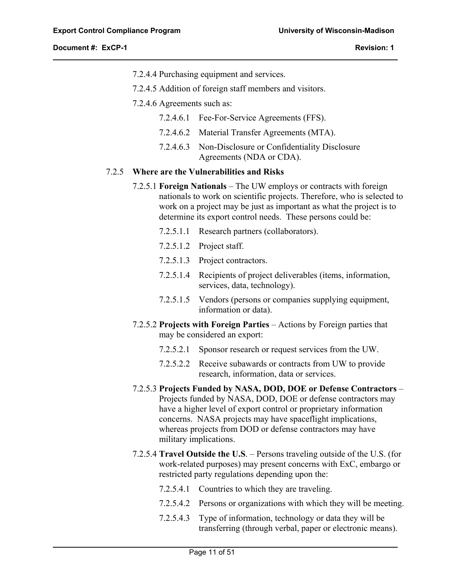$\overline{a}$ 

- 7.2.4.4 Purchasing equipment and services.
- 7.2.4.5 Addition of foreign staff members and visitors.
- 7.2.4.6 Agreements such as:
	- 7.2.4.6.1 Fee-For-Service Agreements (FFS).
	- 7.2.4.6.2 Material Transfer Agreements (MTA).
	- 7.2.4.6.3 Non-Disclosure or Confidentiality Disclosure Agreements (NDA or CDA).

# 7.2.5 **Where are the Vulnerabilities and Risks**

- 7.2.5.1 **Foreign Nationals**  The UW employs or contracts with foreign nationals to work on scientific projects. Therefore, who is selected to work on a project may be just as important as what the project is to determine its export control needs. These persons could be:
	- 7.2.5.1.1 Research partners (collaborators).
	- 7.2.5.1.2 Project staff.
	- 7.2.5.1.3 Project contractors.
	- 7.2.5.1.4 Recipients of project deliverables (items, information, services, data, technology).
	- 7.2.5.1.5 Vendors (persons or companies supplying equipment, information or data).
- 7.2.5.2 **Projects with Foreign Parties**  Actions by Foreign parties that may be considered an export:
	- 7.2.5.2.1 Sponsor research or request services from the UW.
	- 7.2.5.2.2 Receive subawards or contracts from UW to provide research, information, data or services.
- 7.2.5.3 **Projects Funded by NASA, DOD, DOE or Defense Contractors** Projects funded by NASA, DOD, DOE or defense contractors may have a higher level of export control or proprietary information concerns. NASA projects may have spaceflight implications, whereas projects from DOD or defense contractors may have military implications.
- 7.2.5.4 **Travel Outside the U.S**. Persons traveling outside of the U.S. (for work-related purposes) may present concerns with ExC, embargo or restricted party regulations depending upon the:
	- 7.2.5.4.1 Countries to which they are traveling.
	- 7.2.5.4.2 Persons or organizations with which they will be meeting.
	- 7.2.5.4.3 Type of information, technology or data they will be transferring (through verbal, paper or electronic means).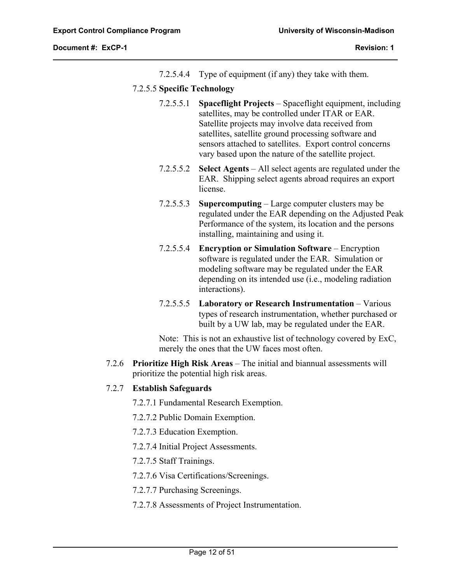$\overline{a}$ 

7.2.5.4.4 Type of equipment (if any) they take with them.

# 7.2.5.5 **Specific Technology**

- 7.2.5.5.1 **Spaceflight Projects** Spaceflight equipment, including satellites, may be controlled under ITAR or EAR. Satellite projects may involve data received from satellites, satellite ground processing software and sensors attached to satellites. Export control concerns vary based upon the nature of the satellite project.
- 7.2.5.5.2 **Select Agents** All select agents are regulated under the EAR. Shipping select agents abroad requires an export license.
- 7.2.5.5.3 **Supercomputing** Large computer clusters may be regulated under the EAR depending on the Adjusted Peak Performance of the system, its location and the persons installing, maintaining and using it.
- 7.2.5.5.4 **Encryption or Simulation Software**  Encryption software is regulated under the EAR. Simulation or modeling software may be regulated under the EAR depending on its intended use (i.e., modeling radiation interactions).
- 7.2.5.5.5 **Laboratory or Research Instrumentation** Various types of research instrumentation, whether purchased or built by a UW lab, may be regulated under the EAR.

Note: This is not an exhaustive list of technology covered by ExC, merely the ones that the UW faces most often.

7.2.6 **Prioritize High Risk Areas** – The initial and biannual assessments will prioritize the potential high risk areas.

# 7.2.7 **Establish Safeguards**

7.2.7.1 Fundamental Research Exemption.

- 7.2.7.2 Public Domain Exemption.
- 7.2.7.3 Education Exemption.
- 7.2.7.4 Initial Project Assessments.
- 7.2.7.5 Staff Trainings.
- 7.2.7.6 Visa Certifications/Screenings.
- 7.2.7.7 Purchasing Screenings.
- 7.2.7.8 Assessments of Project Instrumentation.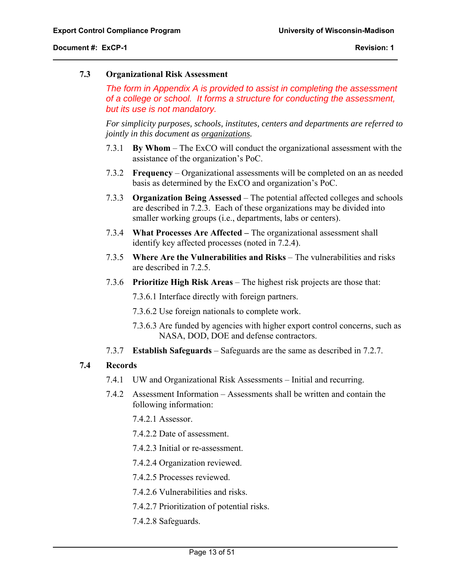#### **7.3 Organizational Risk Assessment**

*The form in Appendix A is provided to assist in completing the assessment of a college or school. It forms a structure for conducting the assessment, but its use is not mandatory.*

*For simplicity purposes, schools, institutes, centers and departments are referred to jointly in this document as organizations.* 

- 7.3.1 **By Whom** The ExCO will conduct the organizational assessment with the assistance of the organization's PoC.
- 7.3.2 **Frequency** Organizational assessments will be completed on an as needed basis as determined by the ExCO and organization's PoC.
- 7.3.3 **Organization Being Assessed** The potential affected colleges and schools are described in 7.2.3. Each of these organizations may be divided into smaller working groups (i.e., departments, labs or centers).
- 7.3.4 **What Processes Are Affected** The organizational assessment shall identify key affected processes (noted in 7.2.4).
- 7.3.5 **Where Are the Vulnerabilities and Risks** The vulnerabilities and risks are described in 7.2.5.
- 7.3.6 **Prioritize High Risk Areas** The highest risk projects are those that:

7.3.6.1 Interface directly with foreign partners.

- 7.3.6.2 Use foreign nationals to complete work.
- 7.3.6.3 Are funded by agencies with higher export control concerns, such as NASA, DOD, DOE and defense contractors.
- 7.3.7 **Establish Safeguards** Safeguards are the same as described in 7.2.7.

# **7.4 Records**

 $\overline{a}$ 

- 7.4.1 UW and Organizational Risk Assessments Initial and recurring.
- 7.4.2 Assessment Information Assessments shall be written and contain the following information:

7.4.2.1 Assessor.

- 7.4.2.2 Date of assessment.
- 7.4.2.3 Initial or re-assessment.
- 7.4.2.4 Organization reviewed.
- 7.4.2.5 Processes reviewed.
- 7.4.2.6 Vulnerabilities and risks.
- 7.4.2.7 Prioritization of potential risks.
- 7.4.2.8 Safeguards.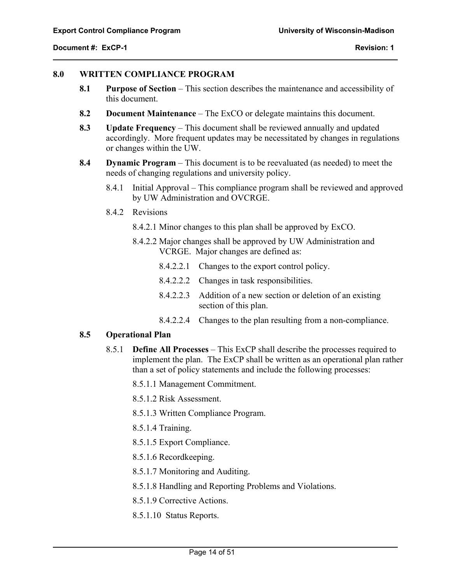$\overline{a}$ 

#### **8.0 WRITTEN COMPLIANCE PROGRAM**

- **8.1 Purpose of Section** This section describes the maintenance and accessibility of this document.
- **8.2 Document Maintenance** The ExCO or delegate maintains this document.
- **8.3 Update Frequency** This document shall be reviewed annually and updated accordingly. More frequent updates may be necessitated by changes in regulations or changes within the UW.
- **8.4 Dynamic Program**  This document is to be reevaluated (as needed) to meet the needs of changing regulations and university policy.
	- 8.4.1 Initial Approval This compliance program shall be reviewed and approved by UW Administration and OVCRGE.
	- 8.4.2 Revisions
		- 8.4.2.1 Minor changes to this plan shall be approved by ExCO.
		- 8.4.2.2 Major changes shall be approved by UW Administration and VCRGE. Major changes are defined as:
			- 8.4.2.2.1 Changes to the export control policy.
			- 8.4.2.2.2 Changes in task responsibilities.
			- 8.4.2.2.3 Addition of a new section or deletion of an existing section of this plan.
			- 8.4.2.2.4 Changes to the plan resulting from a non-compliance.

# **8.5 Operational Plan**

8.5.1 **Define All Processes** – This ExCP shall describe the processes required to implement the plan. The ExCP shall be written as an operational plan rather than a set of policy statements and include the following processes:

8.5.1.1 Management Commitment.

8.5.1.2 Risk Assessment.

8.5.1.3 Written Compliance Program.

8.5.1.4 Training.

- 8.5.1.5 Export Compliance.
- 8.5.1.6 Recordkeeping.
- 8.5.1.7 Monitoring and Auditing.
- 8.5.1.8 Handling and Reporting Problems and Violations.
- 8.5.1.9 Corrective Actions.
- 8.5.1.10 Status Reports.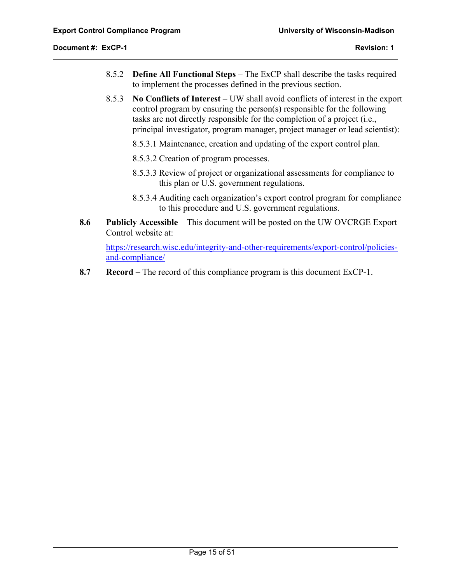$\overline{a}$ 

- 8.5.2 **Define All Functional Steps**  The ExCP shall describe the tasks required to implement the processes defined in the previous section.
- 8.5.3 **No Conflicts of Interest** UW shall avoid conflicts of interest in the export control program by ensuring the person(s) responsible for the following tasks are not directly responsible for the completion of a project (i.e., principal investigator, program manager, project manager or lead scientist):
	- 8.5.3.1 Maintenance, creation and updating of the export control plan.
	- 8.5.3.2 Creation of program processes.
	- 8.5.3.3 Review of project or organizational assessments for compliance to this plan or U.S. government regulations.
	- 8.5.3.4 Auditing each organization's export control program for compliance to this procedure and U.S. government regulations.
- **8.6 Publicly Accessible**  This document will be posted on the UW OVCRGE Export Control website at:

https://research.wisc.edu/integrity-and-other-requirements/export-control/policiesand-compliance/

**8.7 Record –** The record of this compliance program is this document ExCP-1.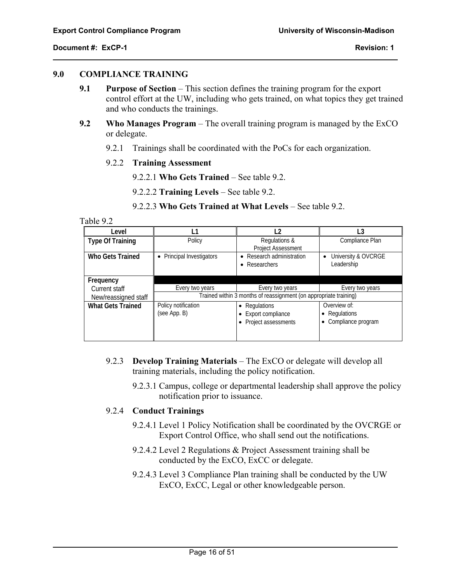$\overline{a}$ 

#### **9.0 COMPLIANCE TRAINING**

- **9.1 Purpose of Section** This section defines the training program for the export control effort at the UW, including who gets trained, on what topics they get trained and who conducts the trainings.
- **9.2 Who Manages Program** The overall training program is managed by the ExCO or delegate.
	- 9.2.1 Trainings shall be coordinated with the PoCs for each organization.
	- 9.2.2 **Training Assessment** 
		- 9.2.2.1 **Who Gets Trained** See table 9.2.
		- 9.2.2.2 **Training Levels**  See table 9.2.
		- 9.2.2.3 **Who Gets Trained at What Levels**  See table 9.2.

#### Table 9.2

| Level                    | 1،                                   | 12                                                                | -3                                                  |
|--------------------------|--------------------------------------|-------------------------------------------------------------------|-----------------------------------------------------|
| <b>Type Of Training</b>  | Policy                               | Regulations &<br><b>Project Assessment</b>                        | Compliance Plan                                     |
| Who Gets Trained         | Principal Investigators<br>$\bullet$ | Research administration<br>Researchers                            | University & OVCRGE<br>$\bullet$<br>Leadership      |
| Frequency                |                                      |                                                                   |                                                     |
| Current staff            | Every two years                      | Every two years                                                   | Every two years                                     |
| New/reassigned staff     |                                      | Trained within 3 months of reassignment (on appropriate training) |                                                     |
| <b>What Gets Trained</b> | Policy notification<br>(see App. B)  | • Regulations<br>Export compliance<br>• Project assessments       | Overview of:<br>• Regulations<br>Compliance program |

- 9.2.3 **Develop Training Materials**  The ExCO or delegate will develop all training materials, including the policy notification.
	- 9.2.3.1 Campus, college or departmental leadership shall approve the policy notification prior to issuance.

#### 9.2.4 **Conduct Trainings**

- 9.2.4.1 Level 1 Policy Notification shall be coordinated by the OVCRGE or Export Control Office, who shall send out the notifications.
- 9.2.4.2 Level 2 Regulations & Project Assessment training shall be conducted by the ExCO, ExCC or delegate.
- 9.2.4.3 Level 3 Compliance Plan training shall be conducted by the UW ExCO, ExCC, Legal or other knowledgeable person.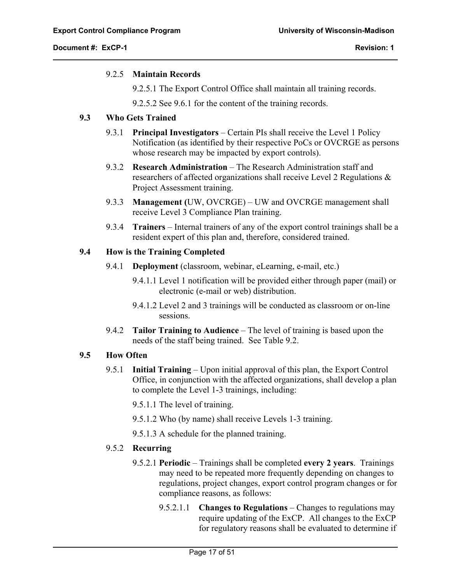# 9.2.5 **Maintain Records**

9.2.5.1 The Export Control Office shall maintain all training records.

9.2.5.2 See 9.6.1 for the content of the training records.

# **9.3 Who Gets Trained**

- 9.3.1 **Principal Investigators** Certain PIs shall receive the Level 1 Policy Notification (as identified by their respective PoCs or OVCRGE as persons whose research may be impacted by export controls).
- 9.3.2 **Research Administration** The Research Administration staff and researchers of affected organizations shall receive Level 2 Regulations & Project Assessment training.
- 9.3.3 **Management (**UW, OVCRGE) UW and OVCRGE management shall receive Level 3 Compliance Plan training.
- 9.3.4 **Trainers** Internal trainers of any of the export control trainings shall be a resident expert of this plan and, therefore, considered trained.

# **9.4 How is the Training Completed**

- 9.4.1 **Deployment** (classroom, webinar, eLearning, e-mail, etc.)
	- 9.4.1.1 Level 1 notification will be provided either through paper (mail) or electronic (e-mail or web) distribution.
	- 9.4.1.2 Level 2 and 3 trainings will be conducted as classroom or on-line sessions.
- 9.4.2 **Tailor Training to Audience** The level of training is based upon the needs of the staff being trained. See Table 9.2.

# **9.5 How Often**

 $\overline{a}$ 

9.5.1 **Initial Training** – Upon initial approval of this plan, the Export Control Office, in conjunction with the affected organizations, shall develop a plan to complete the Level 1-3 trainings, including:

9.5.1.1 The level of training.

- 9.5.1.2 Who (by name) shall receive Levels 1-3 training.
- 9.5.1.3 A schedule for the planned training.

# 9.5.2 **Recurring**

- 9.5.2.1 **Periodic** Trainings shall be completed **every 2 years**. Trainings may need to be repeated more frequently depending on changes to regulations, project changes, export control program changes or for compliance reasons, as follows:
	- 9.5.2.1.1 **Changes to Regulations** Changes to regulations may require updating of the ExCP. All changes to the ExCP for regulatory reasons shall be evaluated to determine if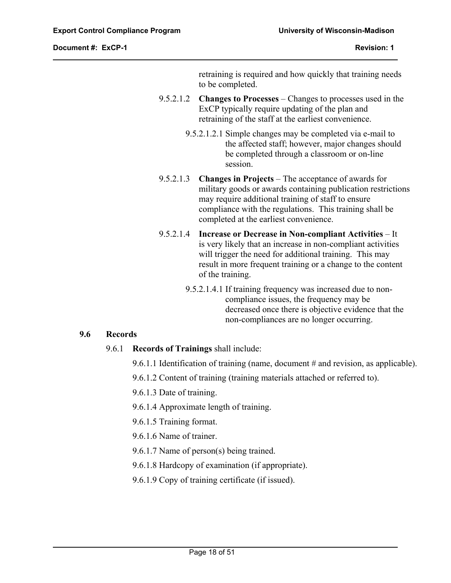retraining is required and how quickly that training needs to be completed.

- 9.5.2.1.2 **Changes to Processes** Changes to processes used in the ExCP typically require updating of the plan and retraining of the staff at the earliest convenience.
	- 9.5.2.1.2.1 Simple changes may be completed via e-mail to the affected staff; however, major changes should be completed through a classroom or on-line session.
- 9.5.2.1.3 **Changes in Projects**  The acceptance of awards for military goods or awards containing publication restrictions may require additional training of staff to ensure compliance with the regulations. This training shall be completed at the earliest convenience.
- 9.5.2.1.4 **Increase or Decrease in Non-compliant Activities** It is very likely that an increase in non-compliant activities will trigger the need for additional training. This may result in more frequent training or a change to the content of the training.
	- 9.5.2.1.4.1 If training frequency was increased due to noncompliance issues, the frequency may be decreased once there is objective evidence that the non-compliances are no longer occurring.

# **9.6 Records**

 $\overline{a}$ 

- 9.6.1 **Records of Trainings** shall include:
	- 9.6.1.1 Identification of training (name, document # and revision, as applicable).
	- 9.6.1.2 Content of training (training materials attached or referred to).
	- 9.6.1.3 Date of training.
	- 9.6.1.4 Approximate length of training.
	- 9.6.1.5 Training format.
	- 9.6.1.6 Name of trainer.
	- 9.6.1.7 Name of person(s) being trained.
	- 9.6.1.8 Hardcopy of examination (if appropriate).
	- 9.6.1.9 Copy of training certificate (if issued).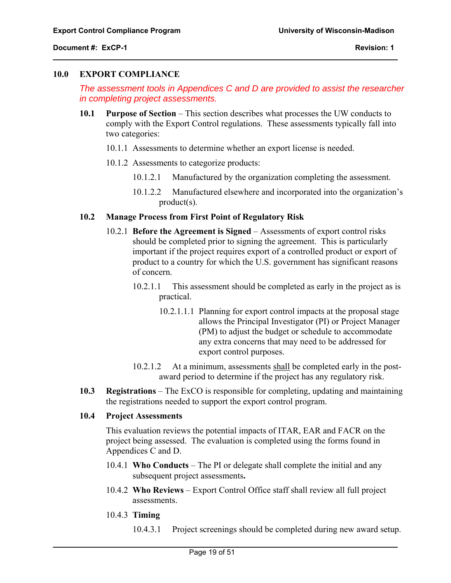#### **10.0 EXPORT COMPLIANCE**

*The assessment tools in Appendices C and D are provided to assist the researcher in completing project assessments.*

- **10.1 Purpose of Section** This section describes what processes the UW conducts to comply with the Export Control regulations. These assessments typically fall into two categories:
	- 10.1.1 Assessments to determine whether an export license is needed.
	- 10.1.2 Assessments to categorize products:
		- 10.1.2.1 Manufactured by the organization completing the assessment.
		- 10.1.2.2 Manufactured elsewhere and incorporated into the organization's product(s).

#### **10.2 Manage Process from First Point of Regulatory Risk**

- 10.2.1 **Before the Agreement is Signed** Assessments of export control risks should be completed prior to signing the agreement. This is particularly important if the project requires export of a controlled product or export of product to a country for which the U.S. government has significant reasons of concern.
	- 10.2.1.1 This assessment should be completed as early in the project as is practical.
		- 10.2.1.1.1 Planning for export control impacts at the proposal stage allows the Principal Investigator (PI) or Project Manager (PM) to adjust the budget or schedule to accommodate any extra concerns that may need to be addressed for export control purposes.
	- 10.2.1.2 At a minimum, assessments shall be completed early in the postaward period to determine if the project has any regulatory risk.
- **10.3 Registrations** The ExCO is responsible for completing, updating and maintaining the registrations needed to support the export control program.

#### **10.4 Project Assessments**

This evaluation reviews the potential impacts of ITAR, EAR and FACR on the project being assessed. The evaluation is completed using the forms found in Appendices C and D.

- 10.4.1 **Who Conducts** The PI or delegate shall complete the initial and any subsequent project assessments**.**
- 10.4.2 **Who Reviews** Export Control Office staff shall review all full project assessments.
- 10.4.3 **Timing**

 $\overline{a}$ 

10.4.3.1 Project screenings should be completed during new award setup.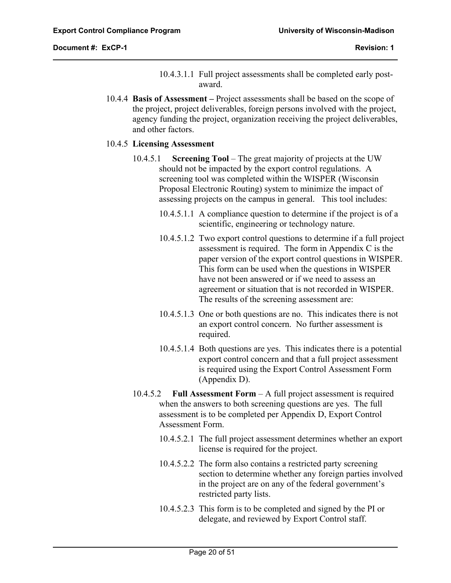$\overline{a}$ 

- 10.4.3.1.1 Full project assessments shall be completed early postaward.
- 10.4.4 **Basis of Assessment** Project assessments shall be based on the scope of the project, project deliverables, foreign persons involved with the project, agency funding the project, organization receiving the project deliverables, and other factors.

#### 10.4.5 **Licensing Assessment**

- 10.4.5.1 **Screening Tool** The great majority of projects at the UW should not be impacted by the export control regulations. A screening tool was completed within the WISPER (Wisconsin Proposal Electronic Routing) system to minimize the impact of assessing projects on the campus in general. This tool includes:
	- 10.4.5.1.1 A compliance question to determine if the project is of a scientific, engineering or technology nature.
	- 10.4.5.1.2 Two export control questions to determine if a full project assessment is required. The form in Appendix C is the paper version of the export control questions in WISPER. This form can be used when the questions in WISPER have not been answered or if we need to assess an agreement or situation that is not recorded in WISPER. The results of the screening assessment are:
	- 10.4.5.1.3 One or both questions are no. This indicates there is not an export control concern. No further assessment is required.
	- 10.4.5.1.4 Both questions are yes. This indicates there is a potential export control concern and that a full project assessment is required using the Export Control Assessment Form (Appendix D).
- 10.4.5.2 **Full Assessment Form** A full project assessment is required when the answers to both screening questions are yes. The full assessment is to be completed per Appendix D, Export Control Assessment Form.
	- 10.4.5.2.1 The full project assessment determines whether an export license is required for the project.
	- 10.4.5.2.2 The form also contains a restricted party screening section to determine whether any foreign parties involved in the project are on any of the federal government's restricted party lists.
	- 10.4.5.2.3 This form is to be completed and signed by the PI or delegate, and reviewed by Export Control staff.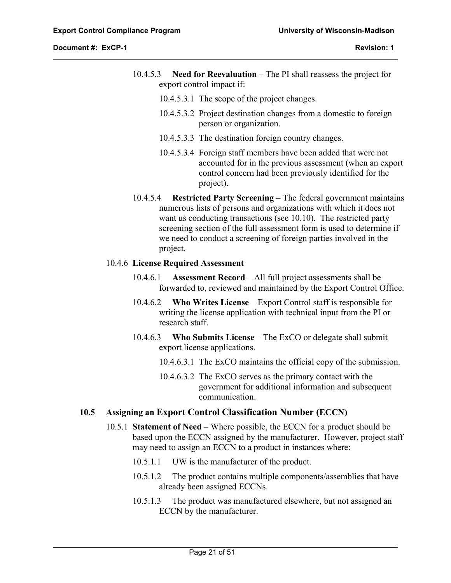$\overline{a}$ 

- 10.4.5.3 **Need for Reevaluation** The PI shall reassess the project for export control impact if:
	- 10.4.5.3.1 The scope of the project changes.
	- 10.4.5.3.2 Project destination changes from a domestic to foreign person or organization.
	- 10.4.5.3.3 The destination foreign country changes.
	- 10.4.5.3.4 Foreign staff members have been added that were not accounted for in the previous assessment (when an export control concern had been previously identified for the project).
- 10.4.5.4 **Restricted Party Screening** The federal government maintains numerous lists of persons and organizations with which it does not want us conducting transactions (see 10.10). The restricted party screening section of the full assessment form is used to determine if we need to conduct a screening of foreign parties involved in the project.

# 10.4.6 **License Required Assessment**

- 10.4.6.1 **Assessment Record** All full project assessments shall be forwarded to, reviewed and maintained by the Export Control Office.
- 10.4.6.2 **Who Writes License** Export Control staff is responsible for writing the license application with technical input from the PI or research staff.
- 10.4.6.3 **Who Submits License** The ExCO or delegate shall submit export license applications.
	- 10.4.6.3.1 The ExCO maintains the official copy of the submission.
	- 10.4.6.3.2 The ExCO serves as the primary contact with the government for additional information and subsequent communication.

# **10.5 Assigning an Export Control Classification Number (ECCN)**

- 10.5.1 **Statement of Need** Where possible, the ECCN for a product should be based upon the ECCN assigned by the manufacturer. However, project staff may need to assign an ECCN to a product in instances where:
	- 10.5.1.1 UW is the manufacturer of the product.
	- 10.5.1.2 The product contains multiple components/assemblies that have already been assigned ECCNs.
	- 10.5.1.3 The product was manufactured elsewhere, but not assigned an ECCN by the manufacturer.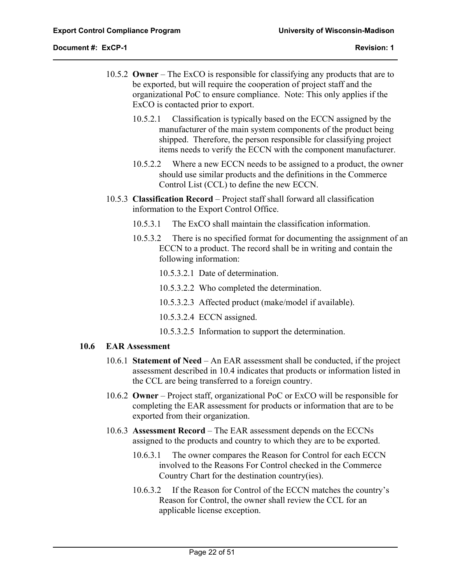$\overline{a}$ 

- 10.5.2 **Owner** The ExCO is responsible for classifying any products that are to be exported, but will require the cooperation of project staff and the organizational PoC to ensure compliance. Note: This only applies if the ExCO is contacted prior to export.
	- 10.5.2.1 Classification is typically based on the ECCN assigned by the manufacturer of the main system components of the product being shipped. Therefore, the person responsible for classifying project items needs to verify the ECCN with the component manufacturer.
	- 10.5.2.2 Where a new ECCN needs to be assigned to a product, the owner should use similar products and the definitions in the Commerce Control List (CCL) to define the new ECCN.
- 10.5.3 **Classification Record** Project staff shall forward all classification information to the Export Control Office.
	- 10.5.3.1 The ExCO shall maintain the classification information.
	- 10.5.3.2 There is no specified format for documenting the assignment of an ECCN to a product. The record shall be in writing and contain the following information:
		- 10.5.3.2.1 Date of determination.
		- 10.5.3.2.2 Who completed the determination.
		- 10.5.3.2.3 Affected product (make/model if available).
		- 10.5.3.2.4 ECCN assigned.
		- 10.5.3.2.5 Information to support the determination.

# **10.6 EAR Assessment**

- 10.6.1 **Statement of Need** An EAR assessment shall be conducted, if the project assessment described in 10.4 indicates that products or information listed in the CCL are being transferred to a foreign country.
- 10.6.2 **Owner** Project staff, organizational PoC or ExCO will be responsible for completing the EAR assessment for products or information that are to be exported from their organization.
- 10.6.3 **Assessment Record** The EAR assessment depends on the ECCNs assigned to the products and country to which they are to be exported.
	- 10.6.3.1 The owner compares the Reason for Control for each ECCN involved to the Reasons For Control checked in the Commerce Country Chart for the destination country(ies).
	- 10.6.3.2 If the Reason for Control of the ECCN matches the country's Reason for Control, the owner shall review the CCL for an applicable license exception.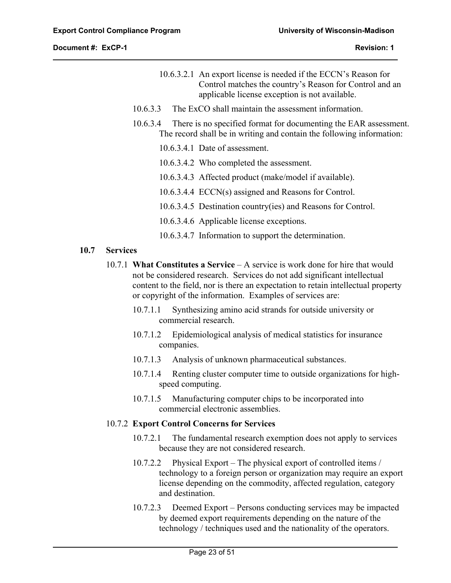$\overline{a}$ 

- 10.6.3.2.1 An export license is needed if the ECCN's Reason for Control matches the country's Reason for Control and an applicable license exception is not available.
- 10.6.3.3 The ExCO shall maintain the assessment information.
- 10.6.3.4 There is no specified format for documenting the EAR assessment. The record shall be in writing and contain the following information:
	- 10.6.3.4.1 Date of assessment.
	- 10.6.3.4.2 Who completed the assessment.
	- 10.6.3.4.3 Affected product (make/model if available).
	- 10.6.3.4.4 ECCN(s) assigned and Reasons for Control.
	- 10.6.3.4.5 Destination country(ies) and Reasons for Control.
	- 10.6.3.4.6 Applicable license exceptions.
	- 10.6.3.4.7 Information to support the determination.

#### **10.7 Services**

- 10.7.1 **What Constitutes a Service** A service is work done for hire that would not be considered research. Services do not add significant intellectual content to the field, nor is there an expectation to retain intellectual property or copyright of the information. Examples of services are:
	- 10.7.1.1 Synthesizing amino acid strands for outside university or commercial research.
	- 10.7.1.2 Epidemiological analysis of medical statistics for insurance companies.
	- 10.7.1.3 Analysis of unknown pharmaceutical substances.
	- 10.7.1.4 Renting cluster computer time to outside organizations for highspeed computing.
	- 10.7.1.5 Manufacturing computer chips to be incorporated into commercial electronic assemblies.

#### 10.7.2 **Export Control Concerns for Services**

- 10.7.2.1 The fundamental research exemption does not apply to services because they are not considered research.
- 10.7.2.2 Physical Export The physical export of controlled items / technology to a foreign person or organization may require an export license depending on the commodity, affected regulation, category and destination.
- 10.7.2.3 Deemed Export Persons conducting services may be impacted by deemed export requirements depending on the nature of the technology / techniques used and the nationality of the operators.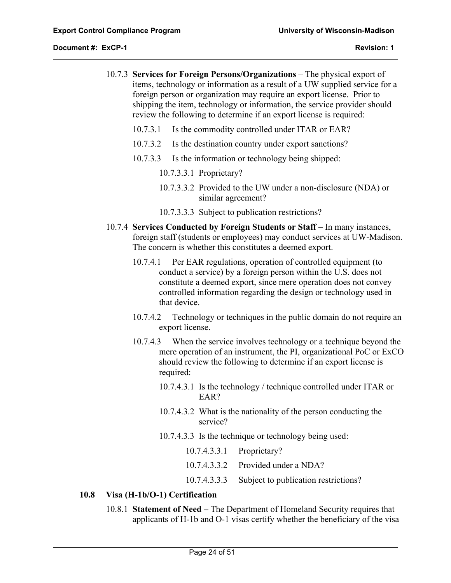$\overline{a}$ 

- 10.7.3 **Services for Foreign Persons/Organizations** The physical export of items, technology or information as a result of a UW supplied service for a foreign person or organization may require an export license. Prior to shipping the item, technology or information, the service provider should review the following to determine if an export license is required:
	- 10.7.3.1 Is the commodity controlled under ITAR or EAR?
	- 10.7.3.2 Is the destination country under export sanctions?
	- 10.7.3.3 Is the information or technology being shipped:
		- 10.7.3.3.1 Proprietary?
		- 10.7.3.3.2 Provided to the UW under a non-disclosure (NDA) or similar agreement?
		- 10.7.3.3.3 Subject to publication restrictions?
- 10.7.4 **Services Conducted by Foreign Students or Staff** In many instances, foreign staff (students or employees) may conduct services at UW-Madison. The concern is whether this constitutes a deemed export.
	- 10.7.4.1 Per EAR regulations, operation of controlled equipment (to conduct a service) by a foreign person within the U.S. does not constitute a deemed export, since mere operation does not convey controlled information regarding the design or technology used in that device.
	- 10.7.4.2 Technology or techniques in the public domain do not require an export license.
	- 10.7.4.3 When the service involves technology or a technique beyond the mere operation of an instrument, the PI, organizational PoC or ExCO should review the following to determine if an export license is required:
		- 10.7.4.3.1 Is the technology / technique controlled under ITAR or EAR?
		- 10.7.4.3.2 What is the nationality of the person conducting the service?
		- 10.7.4.3.3 Is the technique or technology being used:
			- 10.7.4.3.3.1 Proprietary?
			- 10.7.4.3.3.2 Provided under a NDA?
			- 10.7.4.3.3.3 Subject to publication restrictions?

# **10.8 Visa (H-1b/O-1) Certification**

10.8.1 **Statement of Need –** The Department of Homeland Security requires that applicants of H-1b and O-1 visas certify whether the beneficiary of the visa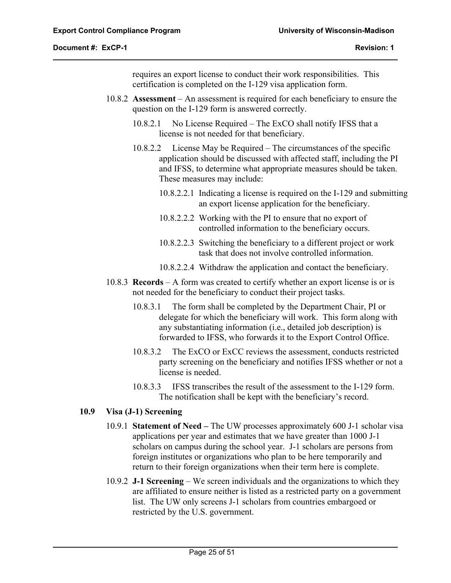$\overline{a}$ 

requires an export license to conduct their work responsibilities. This certification is completed on the I-129 visa application form.

- 10.8.2 **Assessment** An assessment is required for each beneficiary to ensure the question on the I-129 form is answered correctly.
	- 10.8.2.1 No License Required The ExCO shall notify IFSS that a license is not needed for that beneficiary.
	- 10.8.2.2 License May be Required The circumstances of the specific application should be discussed with affected staff, including the PI and IFSS, to determine what appropriate measures should be taken. These measures may include:
		- 10.8.2.2.1 Indicating a license is required on the I-129 and submitting an export license application for the beneficiary.
		- 10.8.2.2.2 Working with the PI to ensure that no export of controlled information to the beneficiary occurs.
		- 10.8.2.2.3 Switching the beneficiary to a different project or work task that does not involve controlled information.
		- 10.8.2.2.4 Withdraw the application and contact the beneficiary.
- 10.8.3 **Records** A form was created to certify whether an export license is or is not needed for the beneficiary to conduct their project tasks.
	- 10.8.3.1 The form shall be completed by the Department Chair, PI or delegate for which the beneficiary will work. This form along with any substantiating information (i.e., detailed job description) is forwarded to IFSS, who forwards it to the Export Control Office.
	- 10.8.3.2 The ExCO or ExCC reviews the assessment, conducts restricted party screening on the beneficiary and notifies IFSS whether or not a license is needed.
	- 10.8.3.3 IFSS transcribes the result of the assessment to the I-129 form. The notification shall be kept with the beneficiary's record.

# **10.9 Visa (J-1) Screening**

- 10.9.1 **Statement of Need** The UW processes approximately 600 J-1 scholar visa applications per year and estimates that we have greater than 1000 J-1 scholars on campus during the school year. J-1 scholars are persons from foreign institutes or organizations who plan to be here temporarily and return to their foreign organizations when their term here is complete.
- 10.9.2 **J-1 Screening** We screen individuals and the organizations to which they are affiliated to ensure neither is listed as a restricted party on a government list. The UW only screens J-1 scholars from countries embargoed or restricted by the U.S. government.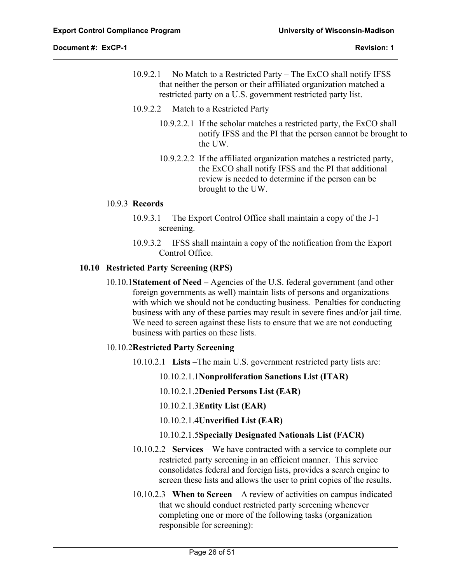$\overline{a}$ 

- 10.9.2.1 No Match to a Restricted Party The ExCO shall notify IFSS that neither the person or their affiliated organization matched a restricted party on a U.S. government restricted party list.
- 10.9.2.2 Match to a Restricted Party
	- 10.9.2.2.1 If the scholar matches a restricted party, the ExCO shall notify IFSS and the PI that the person cannot be brought to the UW.
	- 10.9.2.2.2 If the affiliated organization matches a restricted party, the ExCO shall notify IFSS and the PI that additional review is needed to determine if the person can be brought to the UW.

# 10.9.3 **Records**

- 10.9.3.1 The Export Control Office shall maintain a copy of the J-1 screening.
- 10.9.3.2 IFSS shall maintain a copy of the notification from the Export Control Office.

#### **10.10 Restricted Party Screening (RPS)**

10.10.1**Statement of Need –** Agencies of the U.S. federal government (and other foreign governments as well) maintain lists of persons and organizations with which we should not be conducting business. Penalties for conducting business with any of these parties may result in severe fines and/or jail time. We need to screen against these lists to ensure that we are not conducting business with parties on these lists.

# 10.10.2**Restricted Party Screening**

- 10.10.2.1 **Lists** –The main U.S. government restricted party lists are:
	- 10.10.2.1.1**Nonproliferation Sanctions List (ITAR)**
	- 10.10.2.1.2**Denied Persons List (EAR)**
	- 10.10.2.1.3**Entity List (EAR)**
	- 10.10.2.1.4**Unverified List (EAR)**
	- 10.10.2.1.5**Specially Designated Nationals List (FACR)**
- 10.10.2.2 **Services** We have contracted with a service to complete our restricted party screening in an efficient manner. This service consolidates federal and foreign lists, provides a search engine to screen these lists and allows the user to print copies of the results.
- 10.10.2.3 **When to Screen** A review of activities on campus indicated that we should conduct restricted party screening whenever completing one or more of the following tasks (organization responsible for screening):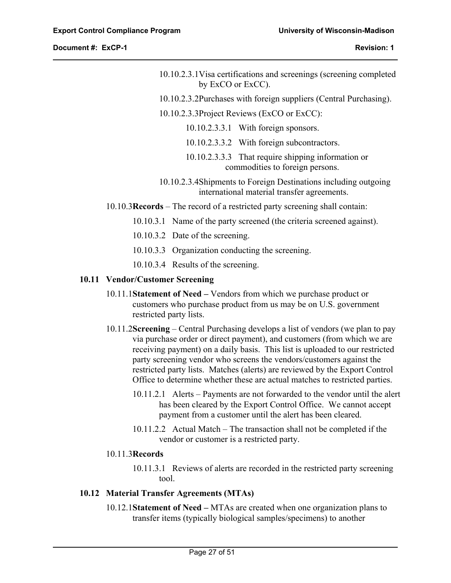$\overline{a}$ 

- 10.10.2.3.1Visa certifications and screenings (screening completed by ExCO or ExCC).
- 10.10.2.3.2Purchases with foreign suppliers (Central Purchasing).
- 10.10.2.3.3Project Reviews (ExCO or ExCC):
	- 10.10.2.3.3.1 With foreign sponsors.
	- 10.10.2.3.3.2 With foreign subcontractors.
	- 10.10.2.3.3.3 That require shipping information or commodities to foreign persons.
- 10.10.2.3.4Shipments to Foreign Destinations including outgoing international material transfer agreements.
- 10.10.3**Records** The record of a restricted party screening shall contain:
	- 10.10.3.1 Name of the party screened (the criteria screened against).
	- 10.10.3.2 Date of the screening.
	- 10.10.3.3 Organization conducting the screening.
	- 10.10.3.4 Results of the screening.

#### **10.11 Vendor/Customer Screening**

- 10.11.1**Statement of Need** Vendors from which we purchase product or customers who purchase product from us may be on U.S. government restricted party lists.
- 10.11.2**Screening** Central Purchasing develops a list of vendors (we plan to pay via purchase order or direct payment), and customers (from which we are receiving payment) on a daily basis. This list is uploaded to our restricted party screening vendor who screens the vendors/customers against the restricted party lists. Matches (alerts) are reviewed by the Export Control Office to determine whether these are actual matches to restricted parties.
	- 10.11.2.1 Alerts Payments are not forwarded to the vendor until the alert has been cleared by the Export Control Office. We cannot accept payment from a customer until the alert has been cleared.
	- 10.11.2.2 Actual Match The transaction shall not be completed if the vendor or customer is a restricted party.

# 10.11.3**Records**

10.11.3.1 Reviews of alerts are recorded in the restricted party screening tool.

#### **10.12 Material Transfer Agreements (MTAs)**

10.12.1**Statement of Need –** MTAs are created when one organization plans to transfer items (typically biological samples/specimens) to another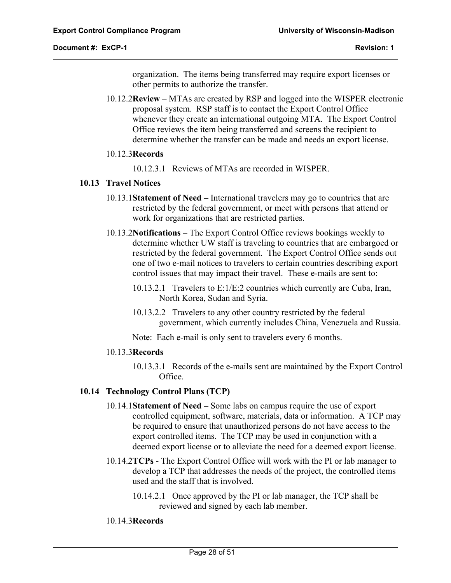organization. The items being transferred may require export licenses or other permits to authorize the transfer.

10.12.2**Review** – MTAs are created by RSP and logged into the WISPER electronic proposal system. RSP staff is to contact the Export Control Office whenever they create an international outgoing MTA. The Export Control Office reviews the item being transferred and screens the recipient to determine whether the transfer can be made and needs an export license.

#### 10.12.3**Records**

10.12.3.1 Reviews of MTAs are recorded in WISPER.

#### **10.13 Travel Notices**

- 10.13.1**Statement of Need** International travelers may go to countries that are restricted by the federal government, or meet with persons that attend or work for organizations that are restricted parties.
- 10.13.2**Notifications** The Export Control Office reviews bookings weekly to determine whether UW staff is traveling to countries that are embargoed or restricted by the federal government. The Export Control Office sends out one of two e-mail notices to travelers to certain countries describing export control issues that may impact their travel. These e-mails are sent to:
	- 10.13.2.1 Travelers to E:1/E:2 countries which currently are Cuba, Iran, North Korea, Sudan and Syria.
	- 10.13.2.2 Travelers to any other country restricted by the federal government, which currently includes China, Venezuela and Russia.

Note: Each e-mail is only sent to travelers every 6 months.

#### 10.13.3**Records**

10.13.3.1 Records of the e-mails sent are maintained by the Export Control Office.

# **10.14 Technology Control Plans (TCP)**

- 10.14.1**Statement of Need** Some labs on campus require the use of export controlled equipment, software, materials, data or information. A TCP may be required to ensure that unauthorized persons do not have access to the export controlled items. The TCP may be used in conjunction with a deemed export license or to alleviate the need for a deemed export license.
- 10.14.2**TCPs**  The Export Control Office will work with the PI or lab manager to develop a TCP that addresses the needs of the project, the controlled items used and the staff that is involved.
	- 10.14.2.1 Once approved by the PI or lab manager, the TCP shall be reviewed and signed by each lab member.

# 10.14.3**Records**

 $\overline{a}$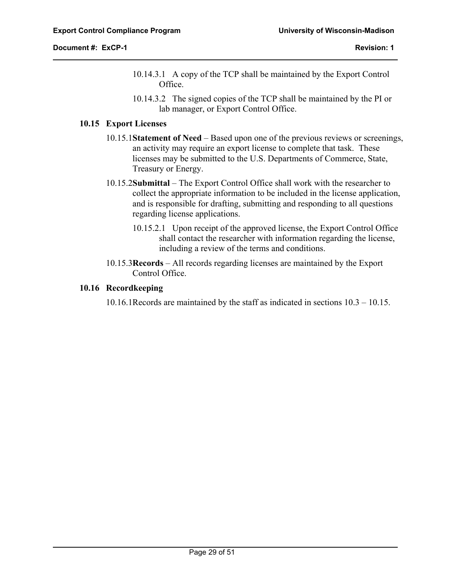$\overline{a}$ 

- 10.14.3.1 A copy of the TCP shall be maintained by the Export Control Office.
- 10.14.3.2 The signed copies of the TCP shall be maintained by the PI or lab manager, or Export Control Office.

### **10.15 Export Licenses**

- 10.15.1**Statement of Need** Based upon one of the previous reviews or screenings, an activity may require an export license to complete that task. These licenses may be submitted to the U.S. Departments of Commerce, State, Treasury or Energy.
- 10.15.2**Submittal** The Export Control Office shall work with the researcher to collect the appropriate information to be included in the license application, and is responsible for drafting, submitting and responding to all questions regarding license applications.
	- 10.15.2.1 Upon receipt of the approved license, the Export Control Office shall contact the researcher with information regarding the license, including a review of the terms and conditions.
- 10.15.3**Records** All records regarding licenses are maintained by the Export Control Office.

# **10.16 Recordkeeping**

10.16.1Records are maintained by the staff as indicated in sections 10.3 – 10.15.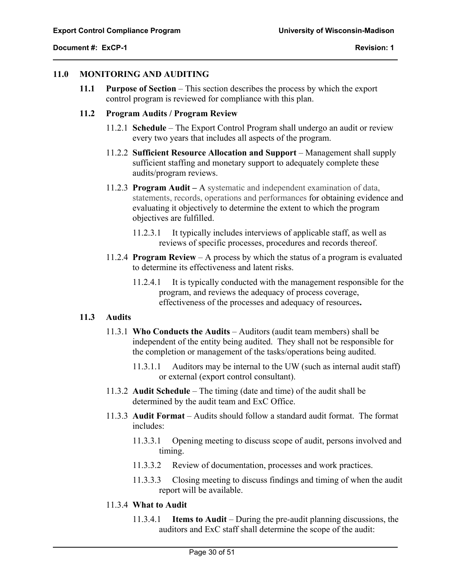#### **11.0 MONITORING AND AUDITING**

**11.1 Purpose of Section** – This section describes the process by which the export control program is reviewed for compliance with this plan.

#### **11.2 Program Audits / Program Review**

- 11.2.1 **Schedule**  The Export Control Program shall undergo an audit or review every two years that includes all aspects of the program.
- 11.2.2 **Sufficient Resource Allocation and Support** Management shall supply sufficient staffing and monetary support to adequately complete these audits/program reviews.
- 11.2.3 **Program Audit** A systematic and independent examination of data, statements, records, operations and performances for obtaining evidence and evaluating it objectively to determine the extent to which the program objectives are fulfilled.
	- 11.2.3.1 It typically includes interviews of applicable staff, as well as reviews of specific processes, procedures and records thereof.
- 11.2.4 **Program Review** A process by which the status of a program is evaluated to determine its effectiveness and latent risks.
	- 11.2.4.1 It is typically conducted with the management responsible for the program, and reviews the adequacy of process coverage, effectiveness of the processes and adequacy of resources**.**

#### **11.3 Audits**

 $\overline{a}$ 

- 11.3.1 **Who Conducts the Audits** Auditors (audit team members) shall be independent of the entity being audited. They shall not be responsible for the completion or management of the tasks/operations being audited.
	- 11.3.1.1 Auditors may be internal to the UW (such as internal audit staff) or external (export control consultant).
- 11.3.2 **Audit Schedule** The timing (date and time) of the audit shall be determined by the audit team and ExC Office.
- 11.3.3 **Audit Format** Audits should follow a standard audit format. The format includes:
	- 11.3.3.1 Opening meeting to discuss scope of audit, persons involved and timing.
	- 11.3.3.2 Review of documentation, processes and work practices.
	- 11.3.3.3 Closing meeting to discuss findings and timing of when the audit report will be available.

#### 11.3.4 **What to Audit**

11.3.4.1 **Items to Audit** – During the pre-audit planning discussions, the auditors and ExC staff shall determine the scope of the audit: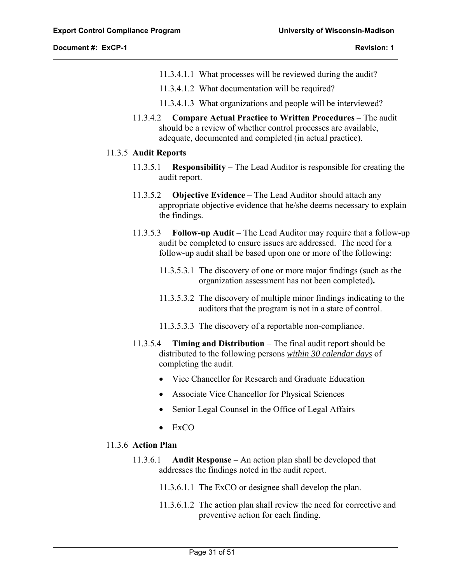$\overline{a}$ 

- 11.3.4.1.1 What processes will be reviewed during the audit?
- 11.3.4.1.2 What documentation will be required?
- 11.3.4.1.3 What organizations and people will be interviewed?
- 11.3.4.2 **Compare Actual Practice to Written Procedures** The audit should be a review of whether control processes are available, adequate, documented and completed (in actual practice).

#### 11.3.5 **Audit Reports**

- 11.3.5.1 **Responsibility**  The Lead Auditor is responsible for creating the audit report.
- 11.3.5.2 **Objective Evidence** The Lead Auditor should attach any appropriate objective evidence that he/she deems necessary to explain the findings.
- 11.3.5.3 **Follow-up Audit** The Lead Auditor may require that a follow-up audit be completed to ensure issues are addressed.The need for a follow-up audit shall be based upon one or more of the following:
	- 11.3.5.3.1 The discovery of one or more major findings (such as the organization assessment has not been completed)**.**
	- 11.3.5.3.2 The discovery of multiple minor findings indicating to the auditors that the program is not in a state of control.
	- 11.3.5.3.3 The discovery of a reportable non-compliance.
- 11.3.5.4 **Timing and Distribution** The final audit report should be distributed to the following persons *within 30 calendar days* of completing the audit.
	- Vice Chancellor for Research and Graduate Education
	- Associate Vice Chancellor for Physical Sciences
	- Senior Legal Counsel in the Office of Legal Affairs
	- $\bullet$  ExCO

#### 11.3.6 **Action Plan**

- 11.3.6.1 **Audit Response** An action plan shall be developed that addresses the findings noted in the audit report.
	- 11.3.6.1.1 The ExCO or designee shall develop the plan.
	- 11.3.6.1.2 The action plan shall review the need for corrective and preventive action for each finding.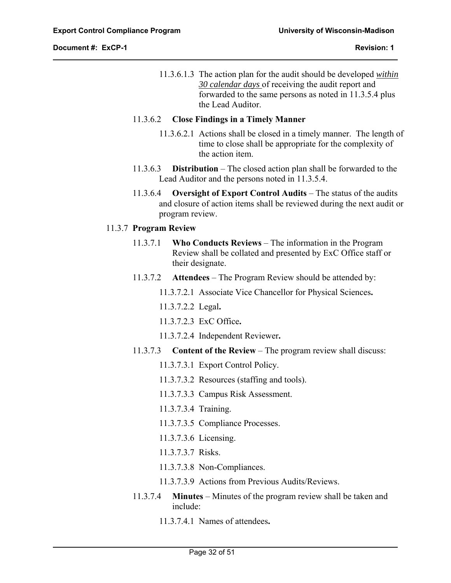$\overline{a}$ 

11.3.6.1.3 The action plan for the audit should be developed *within 30 calendar days* of receiving the audit report and forwarded to the same persons as noted in 11.3.5.4 plus the Lead Auditor.

#### 11.3.6.2 **Close Findings in a Timely Manner**

- 11.3.6.2.1 Actions shall be closed in a timely manner. The length of time to close shall be appropriate for the complexity of the action item.
- 11.3.6.3 **Distribution** The closed action plan shall be forwarded to the Lead Auditor and the persons noted in 11.3.5.4.
- 11.3.6.4 **Oversight of Export Control Audits** The status of the audits and closure of action items shall be reviewed during the next audit or program review.

# 11.3.7 **Program Review**

- 11.3.7.1 **Who Conducts Reviews** The information in the Program Review shall be collated and presented by ExC Office staff or their designate.
- 11.3.7.2 **Attendees** The Program Review should be attended by:
	- 11.3.7.2.1 Associate Vice Chancellor for Physical Sciences**.**
	- 11.3.7.2.2 Legal**.**
	- 11.3.7.2.3 ExC Office**.**
	- 11.3.7.2.4 Independent Reviewer**.**
- 11.3.7.3 **Content of the Review** The program review shall discuss:
	- 11.3.7.3.1 Export Control Policy.
	- 11.3.7.3.2 Resources (staffing and tools).
	- 11.3.7.3.3 Campus Risk Assessment.
	- 11.3.7.3.4 Training.
	- 11.3.7.3.5 Compliance Processes.
	- 11.3.7.3.6 Licensing.
	- 11.3.7.3.7 Risks.
	- 11.3.7.3.8 Non-Compliances.
	- 11.3.7.3.9 Actions from Previous Audits/Reviews.
- 11.3.7.4 **Minutes** Minutes of the program review shall be taken and include:
	- 11.3.7.4.1 Names of attendees**.**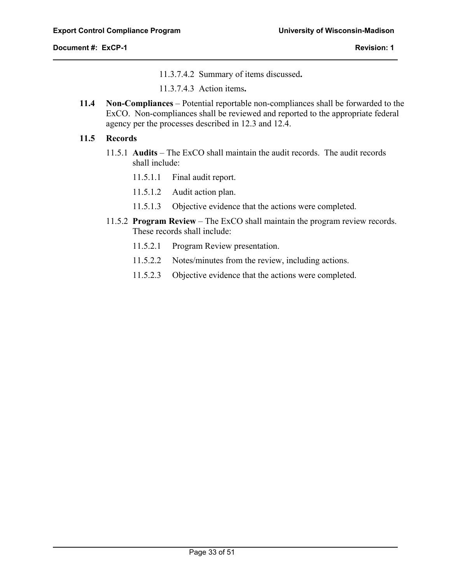$\overline{a}$ 

11.3.7.4.2 Summary of items discussed**.** 

11.3.7.4.3 Action items**.** 

**11.4 Non-Compliances** – Potential reportable non-compliances shall be forwarded to the ExCO. Non-compliances shall be reviewed and reported to the appropriate federal agency per the processes described in 12.3 and 12.4.

# **11.5 Records**

- 11.5.1 **Audits**  The ExCO shall maintain the audit records. The audit records shall include:
	- 11.5.1.1 Final audit report.
	- 11.5.1.2 Audit action plan.
	- 11.5.1.3 Objective evidence that the actions were completed.
- 11.5.2 **Program Review** The ExCO shall maintain the program review records. These records shall include:
	- 11.5.2.1 Program Review presentation.
	- 11.5.2.2 Notes/minutes from the review, including actions.
	- 11.5.2.3 Objective evidence that the actions were completed.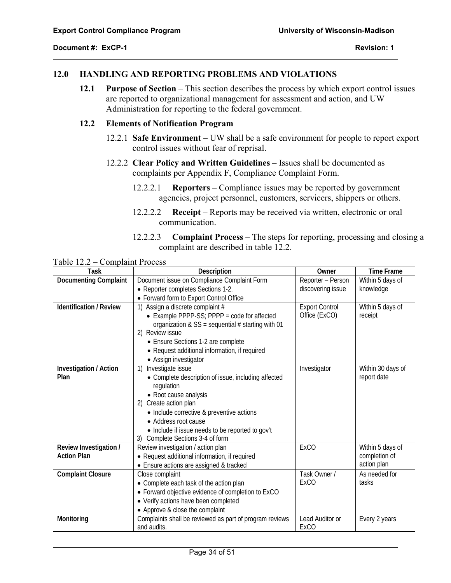$\overline{a}$ 

# **12.0 HANDLING AND REPORTING PROBLEMS AND VIOLATIONS**

**12.1 Purpose of Section** – This section describes the process by which export control issues are reported to organizational management for assessment and action, and UW Administration for reporting to the federal government.

## **12.2 Elements of Notification Program**

- 12.2.1 **Safe Environment** UW shall be a safe environment for people to report export control issues without fear of reprisal.
- 12.2.2 **Clear Policy and Written Guidelines** Issues shall be documented as complaints per Appendix F, Compliance Complaint Form.
	- 12.2.2.1 **Reporters** Compliance issues may be reported by government agencies, project personnel, customers, servicers, shippers or others.
	- 12.2.2.2 **Receipt** Reports may be received via written, electronic or oral communication.
	- 12.2.2.3 **Complaint Process** The steps for reporting, processing and closing a complaint are described in table 12.2.

| <b>Task</b>                                  | Description                                                            | Owner                          | <b>Time Frame</b>                 |
|----------------------------------------------|------------------------------------------------------------------------|--------------------------------|-----------------------------------|
| Documenting Complaint                        | Document issue on Compliance Complaint Form                            | Reporter - Person              | Within 5 days of                  |
|                                              | • Reporter completes Sections 1-2.                                     | discovering issue              | knowledge                         |
|                                              | • Forward form to Export Control Office                                |                                |                                   |
| <b>Identification / Review</b>               | 1) Assign a discrete complaint #                                       | <b>Export Control</b>          | Within 5 days of                  |
|                                              | • Example PPPP-SS; PPPP = code for affected                            | Office (ExCO)                  | receipt                           |
|                                              | organization & $SS = sequential # starting with 01$                    |                                |                                   |
|                                              | 2) Review issue                                                        |                                |                                   |
|                                              | • Ensure Sections 1-2 are complete                                     |                                |                                   |
|                                              | • Request additional information, if required                          |                                |                                   |
|                                              | • Assign investigator                                                  |                                |                                   |
| Investigation / Action                       | Investigate issue<br>1)                                                | Investigator                   | Within 30 days of                 |
| Plan                                         | • Complete description of issue, including affected                    |                                | report date                       |
|                                              | regulation                                                             |                                |                                   |
|                                              | • Root cause analysis                                                  |                                |                                   |
|                                              | 2) Create action plan                                                  |                                |                                   |
|                                              | • Include corrective & preventive actions                              |                                |                                   |
|                                              | • Address root cause                                                   |                                |                                   |
|                                              | • Include if issue needs to be reported to gov't                       |                                |                                   |
|                                              | Complete Sections 3-4 of form<br>3)                                    |                                |                                   |
| Review Investigation /<br><b>Action Plan</b> | Review investigation / action plan                                     | ExCO                           | Within 5 days of<br>completion of |
|                                              | • Request additional information, if required                          |                                | action plan                       |
|                                              | • Ensure actions are assigned & tracked                                | Task Owner /                   | As needed for                     |
| <b>Complaint Closure</b>                     | Close complaint                                                        | <b>ExCO</b>                    | tasks                             |
|                                              | • Complete each task of the action plan                                |                                |                                   |
|                                              | • Forward objective evidence of completion to ExCO                     |                                |                                   |
|                                              | • Verify actions have been completed                                   |                                |                                   |
|                                              | • Approve & close the complaint                                        |                                |                                   |
| Monitoring                                   | Complaints shall be reviewed as part of program reviews<br>and audits. | Lead Auditor or<br><b>ExCO</b> | Every 2 years                     |
|                                              |                                                                        |                                |                                   |

Table 12.2 – Complaint Process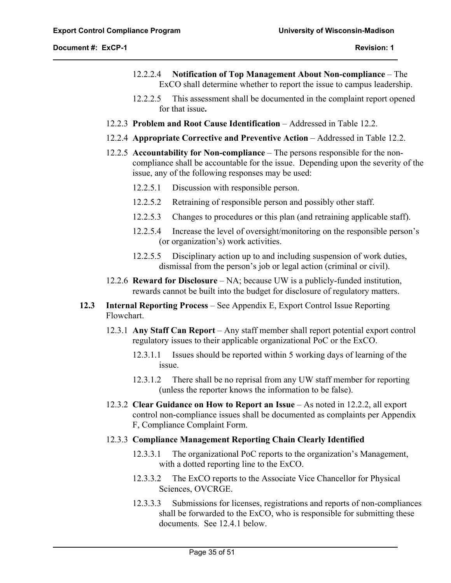$\overline{a}$ 

- 12.2.2.4 **Notification of Top Management About Non-compliance** The ExCO shall determine whether to report the issue to campus leadership.
- 12.2.2.5 This assessment shall be documented in the complaint report opened for that issue**.**
- 12.2.3 **Problem and Root Cause Identification** Addressed in Table 12.2.
- 12.2.4 **Appropriate Corrective and Preventive Action** Addressed in Table 12.2.
- 12.2.5 **Accountability for Non-compliance** The persons responsible for the noncompliance shall be accountable for the issue. Depending upon the severity of the issue, any of the following responses may be used:
	- 12.2.5.1 Discussion with responsible person.
	- 12.2.5.2 Retraining of responsible person and possibly other staff.
	- 12.2.5.3 Changes to procedures or this plan (and retraining applicable staff).
	- 12.2.5.4 Increase the level of oversight/monitoring on the responsible person's (or organization's) work activities.
	- 12.2.5.5 Disciplinary action up to and including suspension of work duties, dismissal from the person's job or legal action (criminal or civil).
- 12.2.6 **Reward for Disclosure** NA; because UW is a publicly-funded institution, rewards cannot be built into the budget for disclosure of regulatory matters.
- **12.3 Internal Reporting Process** See Appendix E, Export Control Issue Reporting Flowchart.
	- 12.3.1 **Any Staff Can Report** Any staff member shall report potential export control regulatory issues to their applicable organizational PoC or the ExCO.
		- 12.3.1.1 Issues should be reported within 5 working days of learning of the issue.
		- 12.3.1.2 There shall be no reprisal from any UW staff member for reporting (unless the reporter knows the information to be false).
	- 12.3.2 **Clear Guidance on How to Report an Issue** As noted in 12.2.2, all export control non-compliance issues shall be documented as complaints per Appendix F, Compliance Complaint Form.
	- 12.3.3 **Compliance Management Reporting Chain Clearly Identified**
		- 12.3.3.1 The organizational PoC reports to the organization's Management, with a dotted reporting line to the ExCO.
		- 12.3.3.2 The ExCO reports to the Associate Vice Chancellor for Physical Sciences, OVCRGE.
		- 12.3.3.3 Submissions for licenses, registrations and reports of non-compliances shall be forwarded to the ExCO, who is responsible for submitting these documents. See 12.4.1 below.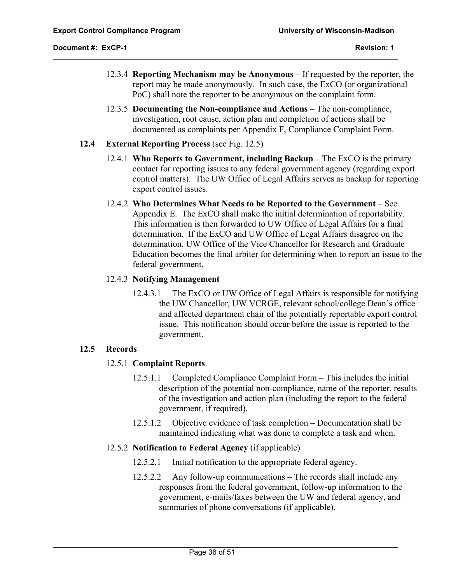- 12.3.4 **Reporting Mechanism may be Anonymous** If requested by the reporter, the report may be made anonymously. In such case, the ExCO (or organizational PoC) shall note the reporter to be anonymous on the complaint form.
- 12.3.5 **Documenting the Non-compliance and Actions** The non-compliance, investigation, root cause, action plan and completion of actions shall be documented as complaints per Appendix F, Compliance Complaint Form.
- **12.4 External Reporting Process** (see Fig. 12.5)
	- 12.4.1 **Who Reports to Government, including Backup** The ExCO is the primary contact for reporting issues to any federal government agency (regarding export control matters). The UW Office of Legal Affairs serves as backup for reporting export control issues.
	- 12.4.2 **Who Determines What Needs to be Reported to the Government** See Appendix E. The ExCO shall make the initial determination of reportability. This information is then forwarded to UW Office of Legal Affairs for a final determination. If the ExCO and UW Office of Legal Affairs disagree on the determination, UW Office of the Vice Chancellor for Research and Graduate Education becomes the final arbiter for determining when to report an issue to the federal government.

#### 12.4.3 **Notifying Management**

12.4.3.1 The ExCO or UW Office of Legal Affairs is responsible for notifying the UW Chancellor, UW VCRGE, relevant school/college Dean's office and affected department chair of the potentially reportable export control issue. This notification should occur before the issue is reported to the government.

# **12.5 Records**

 $\overline{a}$ 

# 12.5.1 **Complaint Reports**

- 12.5.1.1 Completed Compliance Complaint Form This includes the initial description of the potential non-compliance, name of the reporter, results of the investigation and action plan (including the report to the federal government, if required).
- 12.5.1.2 Objective evidence of task completion Documentation shall be maintained indicating what was done to complete a task and when.

# 12.5.2 **Notification to Federal Agency** (if applicable)

- 12.5.2.1 Initial notification to the appropriate federal agency.
- 12.5.2.2 Any follow-up communications The records shall include any responses from the federal government, follow-up information to the government, e-mails/faxes between the UW and federal agency, and summaries of phone conversations (if applicable).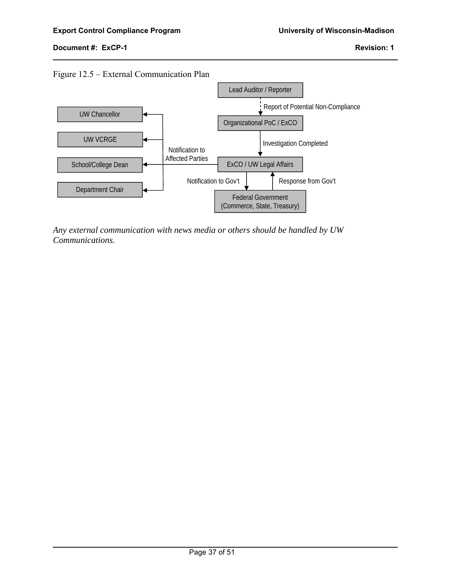$\overline{a}$ 





*Any external communication with news media or others should be handled by UW Communications.*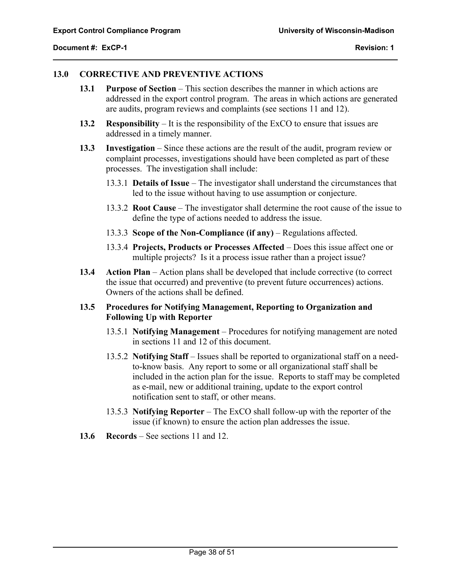$\overline{a}$ 

# **13.0 CORRECTIVE AND PREVENTIVE ACTIONS**

- **13.1 Purpose of Section** This section describes the manner in which actions are addressed in the export control program. The areas in which actions are generated are audits, program reviews and complaints (see sections 11 and 12).
- **13.2 Responsibility** It is the responsibility of the ExCO to ensure that issues are addressed in a timely manner.
- **13.3 Investigation** Since these actions are the result of the audit, program review or complaint processes, investigations should have been completed as part of these processes. The investigation shall include:
	- 13.3.1 **Details of Issue** The investigator shall understand the circumstances that led to the issue without having to use assumption or conjecture.
	- 13.3.2 **Root Cause** The investigator shall determine the root cause of the issue to define the type of actions needed to address the issue.
	- 13.3.3 **Scope of the Non-Compliance (if any)** Regulations affected.
	- 13.3.4 **Projects, Products or Processes Affected** Does this issue affect one or multiple projects? Is it a process issue rather than a project issue?
- **13.4 Action Plan** Action plans shall be developed that include corrective (to correct the issue that occurred) and preventive (to prevent future occurrences) actions. Owners of the actions shall be defined.

# **13.5 Procedures for Notifying Management, Reporting to Organization and Following Up with Reporter**

- 13.5.1 **Notifying Management** Procedures for notifying management are noted in sections 11 and 12 of this document.
- 13.5.2 **Notifying Staff** Issues shall be reported to organizational staff on a needto-know basis. Any report to some or all organizational staff shall be included in the action plan for the issue. Reports to staff may be completed as e-mail, new or additional training, update to the export control notification sent to staff, or other means.
- 13.5.3 **Notifying Reporter** The ExCO shall follow-up with the reporter of the issue (if known) to ensure the action plan addresses the issue.
- **13.6 Records** See sections 11 and 12.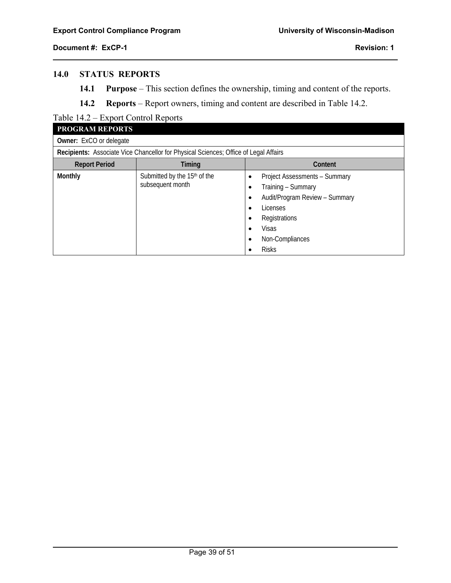$\overline{a}$ 

# **14.0 STATUS REPORTS**

- **14.1 Purpose** This section defines the ownership, timing and content of the reports.
- **14.2 Reports** Report owners, timing and content are described in Table 14.2.

# Table 14.2 – Export Control Reports

| <b>PROGRAM REPORTS</b>         |                                                                                      |                                                                                                                                                                               |  |  |  |
|--------------------------------|--------------------------------------------------------------------------------------|-------------------------------------------------------------------------------------------------------------------------------------------------------------------------------|--|--|--|
| <b>Owner:</b> ExCO or delegate |                                                                                      |                                                                                                                                                                               |  |  |  |
|                                | Recipients: Associate Vice Chancellor for Physical Sciences; Office of Legal Affairs |                                                                                                                                                                               |  |  |  |
| <b>Report Period</b>           | Timing                                                                               | Content                                                                                                                                                                       |  |  |  |
| Monthly                        | Submitted by the 15 <sup>th</sup> of the<br>subsequent month                         | Project Assessments - Summary<br>٠<br>Training - Summary<br>Audit/Program Review - Summary<br>Licenses<br>Registrations<br>Visas<br>٠<br>Non-Compliances<br>٠<br><b>Risks</b> |  |  |  |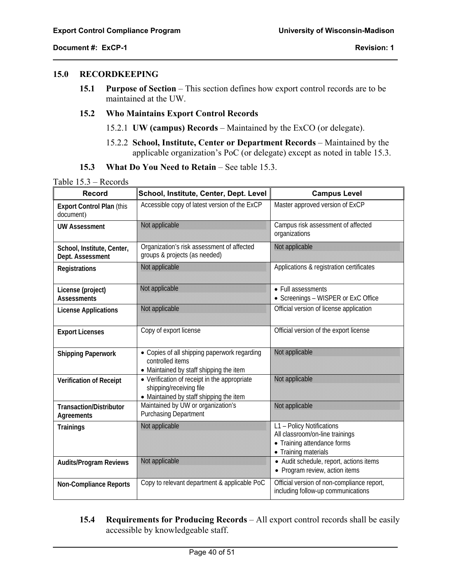$\overline{a}$ 

#### **15.0 RECORDKEEPING**

**15.1 Purpose of Section** – This section defines how export control records are to be maintained at the UW.

#### **15.2 Who Maintains Export Control Records**

- 15.2.1 **UW (campus) Records** Maintained by the ExCO (or delegate).
- 15.2.2 **School, Institute, Center or Department Records** Maintained by the applicable organization's PoC (or delegate) except as noted in table 15.3.
- **15.3 What Do You Need to Retain** See table 15.3.

|  |  | Table 15.3 – Records |
|--|--|----------------------|
|--|--|----------------------|

| <b>Record</b>                                  | School, Institute, Center, Dept. Level                                                                             | <b>Campus Level</b>                                                                                                 |
|------------------------------------------------|--------------------------------------------------------------------------------------------------------------------|---------------------------------------------------------------------------------------------------------------------|
| <b>Export Control Plan (this</b><br>document)  | Accessible copy of latest version of the ExCP                                                                      | Master approved version of ExCP                                                                                     |
| <b>UW Assessment</b>                           | Not applicable                                                                                                     | Campus risk assessment of affected<br>organizations                                                                 |
| School, Institute, Center,<br>Dept. Assessment | Organization's risk assessment of affected<br>groups & projects (as needed)                                        | Not applicable                                                                                                      |
| <b>Registrations</b>                           | Not applicable                                                                                                     | Applications & registration certificates                                                                            |
| License (project)<br><b>Assessments</b>        | Not applicable                                                                                                     | • Full assessments<br>• Screenings - WISPER or ExC Office                                                           |
| <b>License Applications</b>                    | Not applicable                                                                                                     | Official version of license application                                                                             |
| <b>Export Licenses</b>                         | Copy of export license                                                                                             | Official version of the export license                                                                              |
| <b>Shipping Paperwork</b>                      | • Copies of all shipping paperwork regarding<br>controlled items<br>• Maintained by staff shipping the item        | Not applicable                                                                                                      |
| Verification of Receipt                        | • Verification of receipt in the appropriate<br>shipping/receiving file<br>• Maintained by staff shipping the item | Not applicable                                                                                                      |
| <b>Transaction/Distributor</b><br>Agreements   | Maintained by UW or organization's<br><b>Purchasing Department</b>                                                 | Not applicable                                                                                                      |
| <b>Trainings</b>                               | Not applicable                                                                                                     | L1 - Policy Notifications<br>All classroom/on-line trainings<br>• Training attendance forms<br>• Training materials |
| <b>Audits/Program Reviews</b>                  | Not applicable                                                                                                     | • Audit schedule, report, actions items<br>• Program review, action items                                           |
| <b>Non-Compliance Reports</b>                  | Copy to relevant department & applicable PoC                                                                       | Official version of non-compliance report,<br>including follow-up communications                                    |

**15.4 Requirements for Producing Records** – All export control records shall be easily accessible by knowledgeable staff.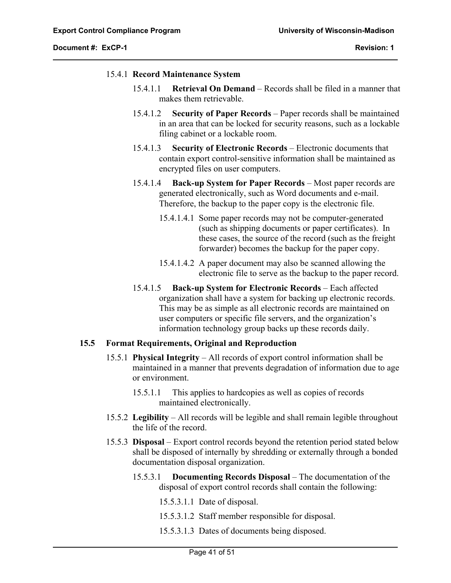$\overline{a}$ 

#### 15.4.1 **Record Maintenance System**

- 15.4.1.1 **Retrieval On Demand** Records shall be filed in a manner that makes them retrievable.
- 15.4.1.2 **Security of Paper Records** Paper records shall be maintained in an area that can be locked for security reasons, such as a lockable filing cabinet or a lockable room.
- 15.4.1.3 **Security of Electronic Records** Electronic documents that contain export control-sensitive information shall be maintained as encrypted files on user computers.
- 15.4.1.4 **Back-up System for Paper Records** Most paper records are generated electronically, such as Word documents and e-mail. Therefore, the backup to the paper copy is the electronic file.
	- 15.4.1.4.1 Some paper records may not be computer-generated (such as shipping documents or paper certificates). In these cases, the source of the record (such as the freight forwarder) becomes the backup for the paper copy.
	- 15.4.1.4.2 A paper document may also be scanned allowing the electronic file to serve as the backup to the paper record.
- 15.4.1.5 **Back-up System for Electronic Records** Each affected organization shall have a system for backing up electronic records. This may be as simple as all electronic records are maintained on user computers or specific file servers, and the organization's information technology group backs up these records daily.

# **15.5 Format Requirements, Original and Reproduction**

- 15.5.1 **Physical Integrity** All records of export control information shall be maintained in a manner that prevents degradation of information due to age or environment.
	- 15.5.1.1 This applies to hardcopies as well as copies of records maintained electronically.
- 15.5.2 **Legibility** All records will be legible and shall remain legible throughout the life of the record.
- 15.5.3 **Disposal** Export control records beyond the retention period stated below shall be disposed of internally by shredding or externally through a bonded documentation disposal organization.
	- 15.5.3.1 **Documenting Records Disposal** The documentation of the disposal of export control records shall contain the following:
		- 15.5.3.1.1 Date of disposal.
		- 15.5.3.1.2 Staff member responsible for disposal.
		- 15.5.3.1.3 Dates of documents being disposed.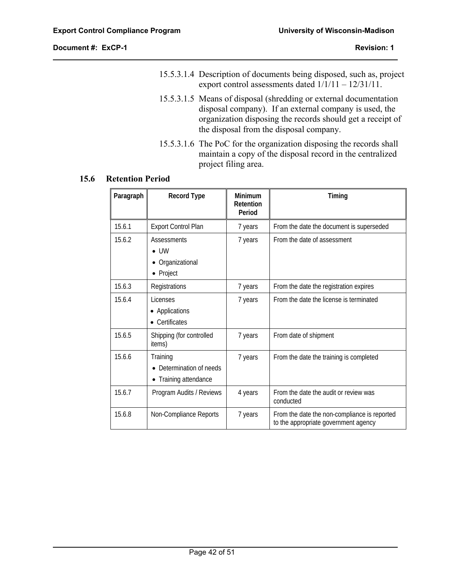$\overline{a}$ 

- 15.5.3.1.4 Description of documents being disposed, such as, project export control assessments dated 1/1/11 – 12/31/11.
- 15.5.3.1.5 Means of disposal (shredding or external documentation disposal company). If an external company is used, the organization disposing the records should get a receipt of the disposal from the disposal company.
- 15.5.3.1.6 The PoC for the organization disposing the records shall maintain a copy of the disposal record in the centralized project filing area.

# **15.6 Retention Period**

| Paragraph | <b>Record Type</b>                                         | Minimum<br>Retention<br>Period | Timing                                                                               |
|-----------|------------------------------------------------------------|--------------------------------|--------------------------------------------------------------------------------------|
| 15.6.1    | <b>Export Control Plan</b>                                 | 7 years                        | From the date the document is superseded                                             |
| 15.6.2    | Assessments<br>$\bullet$ lW<br>Organizational<br>• Project | 7 years                        | From the date of assessment                                                          |
| 15.6.3    | Registrations                                              | 7 years                        | From the date the registration expires                                               |
| 15.6.4    | Licenses<br>Applications<br>Certificates                   | 7 years                        | From the date the license is terminated                                              |
| 15.6.5    | Shipping (for controlled<br>items)                         | 7 years                        | From date of shipment                                                                |
| 15.6.6    | Training<br>Determination of needs<br>Training attendance  | 7 years                        | From the date the training is completed                                              |
| 15.6.7    | Program Audits / Reviews                                   | 4 years                        | From the date the audit or review was<br>conducted                                   |
| 15.6.8    | Non-Compliance Reports                                     | 7 years                        | From the date the non-compliance is reported<br>to the appropriate government agency |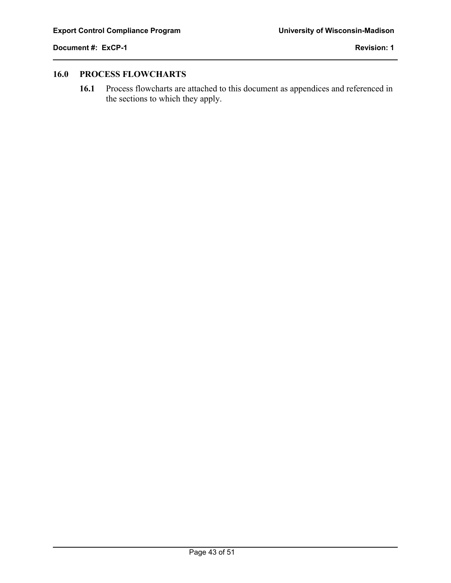$\overline{a}$ 

# **16.0 PROCESS FLOWCHARTS**

**16.1** Process flowcharts are attached to this document as appendices and referenced in the sections to which they apply.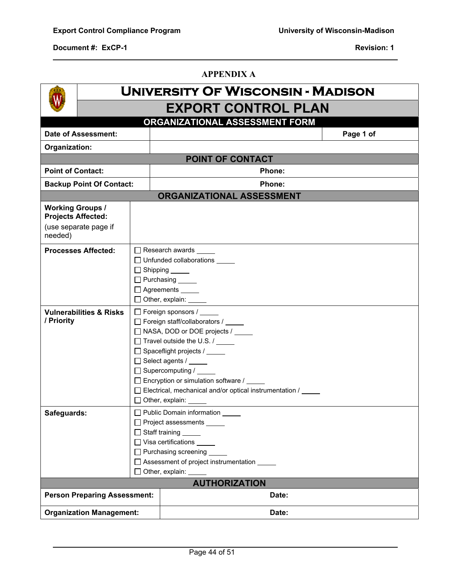$\overline{a}$ 

**APPENDIX A** 

|                                                      |                       | UNIVERSITY OF WISCONSIN - MADISON                                                                                                                                                                                                                                                                                                                                    |
|------------------------------------------------------|-----------------------|----------------------------------------------------------------------------------------------------------------------------------------------------------------------------------------------------------------------------------------------------------------------------------------------------------------------------------------------------------------------|
|                                                      |                       | <b>EXPORT CONTROL PLAN</b>                                                                                                                                                                                                                                                                                                                                           |
|                                                      |                       | ORGANIZATIONAL ASSESSMENT FORM                                                                                                                                                                                                                                                                                                                                       |
| <b>Date of Assessment:</b>                           |                       | Page 1 of                                                                                                                                                                                                                                                                                                                                                            |
| Organization:                                        |                       |                                                                                                                                                                                                                                                                                                                                                                      |
|                                                      |                       | POINT OF CONTACT                                                                                                                                                                                                                                                                                                                                                     |
| <b>Point of Contact:</b>                             |                       | Phone:                                                                                                                                                                                                                                                                                                                                                               |
| Phone:<br><b>Backup Point Of Contact:</b>            |                       |                                                                                                                                                                                                                                                                                                                                                                      |
|                                                      |                       | <b>ORGANIZATIONAL ASSESSMENT</b>                                                                                                                                                                                                                                                                                                                                     |
| <b>Working Groups /</b><br><b>Projects Affected:</b> |                       |                                                                                                                                                                                                                                                                                                                                                                      |
| (use separate page if<br>needed)                     |                       |                                                                                                                                                                                                                                                                                                                                                                      |
| <b>Processes Affected:</b>                           |                       | Research awards _____<br>□ Unfunded collaborations _____<br>$\Box$ Shipping _______<br>$\Box$ Purchasing $\_\_\_\_\_\_\_\$<br>$\Box$ Agreements $\_\_\_\_\_\_\_\_$<br>$\Box$ Other, explain: $\Box$                                                                                                                                                                  |
| <b>Vulnerabilities &amp; Risks</b><br>/ Priority     |                       | Foreign sponsors /<br>□ Foreign staff/collaborators / _____<br>□ NASA, DOD or DOE projects /<br>Travel outside the U.S. / _____<br>□ Spaceflight projects / _____<br>□ Select agents / _____<br>$\Box$ Supercomputing / $\Box$<br>□ Encryption or simulation software /<br>□ Electrical, mechanical and/or optical instrumentation / _____<br>$\Box$ Other, explain: |
| Safeguards:                                          | $\Box$ Staff training | Public Domain information<br>□ Project assessments _____<br>$\Box$ Visa certifications<br>□ Purchasing screening __<br>□ Assessment of project instrumentation<br>$\Box$ Other, explain: $\Box$                                                                                                                                                                      |
|                                                      |                       | <b>AUTHORIZATION</b>                                                                                                                                                                                                                                                                                                                                                 |
| <b>Person Preparing Assessment:</b>                  |                       | Date:                                                                                                                                                                                                                                                                                                                                                                |
| <b>Organization Management:</b>                      |                       | Date:                                                                                                                                                                                                                                                                                                                                                                |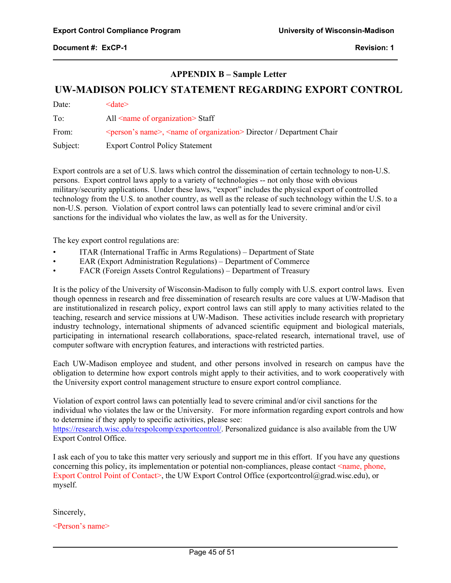### **APPENDIX B – Sample Letter**

# **UW-MADISON POLICY STATEMENT REGARDING EXPORT CONTROL**

Date: <date> To: All <name of organization> Staff From:  $\leq$   $\leq$   $\leq$   $\leq$   $\leq$   $\leq$   $\leq$   $\leq$   $\leq$   $\leq$   $\leq$   $\leq$   $\leq$   $\leq$   $\leq$   $\leq$   $\leq$   $\leq$   $\leq$   $\leq$   $\leq$   $\leq$   $\leq$   $\leq$   $\leq$   $\leq$   $\leq$   $\leq$   $\leq$   $\leq$   $\leq$   $\leq$   $\leq$   $\leq$   $\leq$   $\leq$  Subject: Export Control Policy Statement

Export controls are a set of U.S. laws which control the dissemination of certain technology to non-U.S. persons. Export control laws apply to a variety of technologies -- not only those with obvious military/security applications. Under these laws, "export" includes the physical export of controlled technology from the U.S. to another country, as well as the release of such technology within the U.S. to a non-U.S. person. Violation of export control laws can potentially lead to severe criminal and/or civil sanctions for the individual who violates the law, as well as for the University.

The key export control regulations are:

- ITAR (International Traffic in Arms Regulations) Department of State
- EAR (Export Administration Regulations) Department of Commerce
- FACR (Foreign Assets Control Regulations) Department of Treasury

It is the policy of the University of Wisconsin-Madison to fully comply with U.S. export control laws. Even though openness in research and free dissemination of research results are core values at UW-Madison that are institutionalized in research policy, export control laws can still apply to many activities related to the teaching, research and service missions at UW-Madison. These activities include research with proprietary industry technology, international shipments of advanced scientific equipment and biological materials, participating in international research collaborations, space-related research, international travel, use of computer software with encryption features, and interactions with restricted parties.

Each UW-Madison employee and student, and other persons involved in research on campus have the obligation to determine how export controls might apply to their activities, and to work cooperatively with the University export control management structure to ensure export control compliance.

Violation of export control laws can potentially lead to severe criminal and/or civil sanctions for the individual who violates the law or the University. For more information regarding export controls and how to determine if they apply to specific activities, please see:

https://research.wisc.edu/respolcomp/exportcontrol/. Personalized guidance is also available from the UW Export Control Office.

I ask each of you to take this matter very seriously and support me in this effort. If you have any questions concerning this policy, its implementation or potential non-compliances, please contact  $\leq$  name, phone, Export Control Point of Contact>, the UW Export Control Office (exportcontrol@grad.wisc.edu), or myself.

Sincerely,

 $\overline{a}$ 

<Person's name>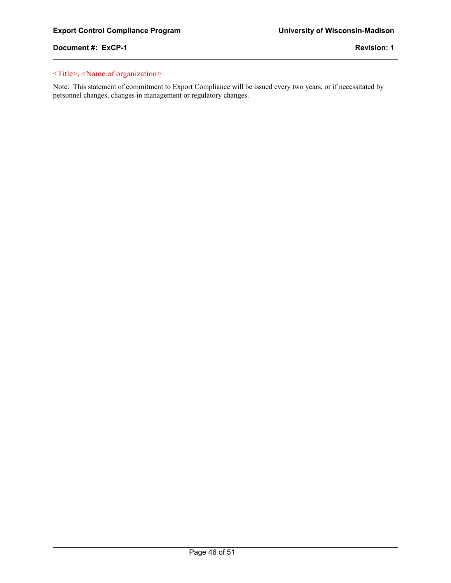$\overline{a}$ 

# <Title>, <Name of organization>

Note: This statement of commitment to Export Compliance will be issued every two years, or if necessitated by personnel changes, changes in management or regulatory changes.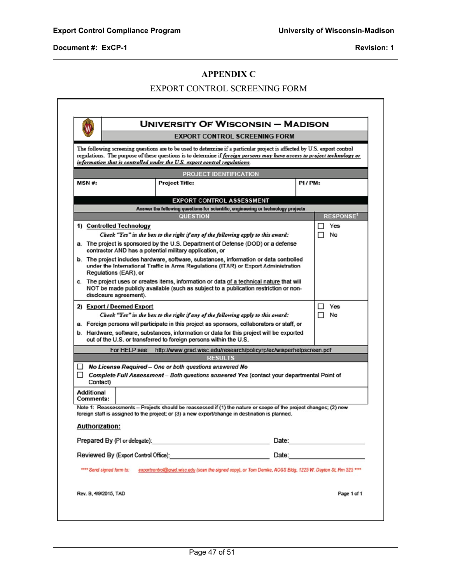$\overline{a}$ 

l

# **APPENDIX C**

# EXPORT CONTROL SCREENING FORM

|                                |               | <b>UNIVERSITY OF WISCONSIN - MADISON</b>                                                                                                                                                                                                                                                                                         |                                      |        |                                                                                                                                                                                                                                |
|--------------------------------|---------------|----------------------------------------------------------------------------------------------------------------------------------------------------------------------------------------------------------------------------------------------------------------------------------------------------------------------------------|--------------------------------------|--------|--------------------------------------------------------------------------------------------------------------------------------------------------------------------------------------------------------------------------------|
|                                |               |                                                                                                                                                                                                                                                                                                                                  | <b>EXPORT CONTROL SCREENING FORM</b> |        |                                                                                                                                                                                                                                |
|                                |               | The following screening questions are to be used to determine if a particular project is affected by U.S. export control<br>regulations. The purpose of these questions is to determine if foreign persons may have access to project technology or<br>information that is controlled under the U.S. export control regulations. |                                      |        |                                                                                                                                                                                                                                |
|                                |               | <b>PROJECT IDENTIFICATION</b>                                                                                                                                                                                                                                                                                                    |                                      |        |                                                                                                                                                                                                                                |
| <b>MSN#:</b>                   |               | <b>Project Title:</b>                                                                                                                                                                                                                                                                                                            |                                      | PI/PM: |                                                                                                                                                                                                                                |
|                                |               | <b>EXPORT CONTROL ASSESSMENT</b>                                                                                                                                                                                                                                                                                                 |                                      |        |                                                                                                                                                                                                                                |
|                                |               | Answer the following questions for scientific, engineering or technology projects                                                                                                                                                                                                                                                |                                      |        |                                                                                                                                                                                                                                |
|                                |               | <b>QUESTION</b>                                                                                                                                                                                                                                                                                                                  |                                      |        | <b>RESPONSE'</b>                                                                                                                                                                                                               |
| 1) Controlled Technology       |               |                                                                                                                                                                                                                                                                                                                                  |                                      |        | Yes<br>H                                                                                                                                                                                                                       |
|                                |               | Check "Yes" in the box to the right if any of the following apply to this award:                                                                                                                                                                                                                                                 |                                      |        | No<br>п                                                                                                                                                                                                                        |
|                                |               | a. The project is sponsored by the U.S. Department of Defense (DOD) or a defense<br>contractor AND has a potential military application, or                                                                                                                                                                                      |                                      |        |                                                                                                                                                                                                                                |
| Regulations (EAR), or          |               | b. The project includes hardware, software, substances, information or data controlled<br>under the International Traffic in Arms Regulations (ITAR) or Export Administration                                                                                                                                                    |                                      |        |                                                                                                                                                                                                                                |
| disclosure agreement).         |               | c. The project uses or creates items, information or data of a technical nature that will<br>NOT be made publicly available (such as subject to a publication restriction or non-                                                                                                                                                |                                      |        |                                                                                                                                                                                                                                |
| 2) Export / Deemed Export      |               |                                                                                                                                                                                                                                                                                                                                  |                                      |        | Yes<br>Ш                                                                                                                                                                                                                       |
|                                |               | Check "Yes" in the box to the right if any of the following apply to this award:                                                                                                                                                                                                                                                 |                                      |        | No<br>п                                                                                                                                                                                                                        |
|                                |               | a. Foreign persons will participate in this project as sponsors, collaborators or staff, or                                                                                                                                                                                                                                      |                                      |        |                                                                                                                                                                                                                                |
|                                |               | b. Hardware, software, substances, information or data for this project will be exported<br>out of the U.S. or transferred to foreign persons within the U.S.                                                                                                                                                                    |                                      |        |                                                                                                                                                                                                                                |
|                                | For HELP see: | http://www.grad.wisc.edu/research/policyrp/ec/wisperhelpscreen.pdf<br><b>RESULTS</b>                                                                                                                                                                                                                                             |                                      |        |                                                                                                                                                                                                                                |
| $\Box$                         |               | No License Required – One or both questions answered No                                                                                                                                                                                                                                                                          |                                      |        |                                                                                                                                                                                                                                |
| $\Box$<br>Contact)             |               | Complete Full Assessment - Both questions answered Yes (contact your departmental Point of                                                                                                                                                                                                                                       |                                      |        |                                                                                                                                                                                                                                |
| <b>Additional</b><br>Comments: |               |                                                                                                                                                                                                                                                                                                                                  |                                      |        |                                                                                                                                                                                                                                |
|                                |               | Note 1: Reassessments - Projects should be reassessed if (1) the nature or scope of the project changes; (2) new<br>foreign staff is assigned to the project; or (3) a new export/change in destination is planned.                                                                                                              |                                      |        |                                                                                                                                                                                                                                |
| <b>Authorization:</b>          |               |                                                                                                                                                                                                                                                                                                                                  |                                      |        |                                                                                                                                                                                                                                |
|                                |               | Prepared By (PI or delegate): Notice that the set of the set of the set of the set of the set of the set of the set of the set of the set of the set of the set of the set of the set of the set of the set of the set of the                                                                                                    |                                      |        | Date: <u>_____________________</u>                                                                                                                                                                                             |
|                                |               | Reviewed By (Export Control Office): New York Control Office 2014                                                                                                                                                                                                                                                                |                                      |        | Date: the contract of the contract of the contract of the contract of the contract of the contract of the contract of the contract of the contract of the contract of the contract of the contract of the contract of the cont |
|                                |               | **** Send signed form to: exportcontrol@grad.wisc.edu (scan the signed copy), or Tom Demke, AOSS Bldg, 1225 W. Dayton St, Rm 525 ****                                                                                                                                                                                            |                                      |        |                                                                                                                                                                                                                                |
| Rev. B, 4/9/2015, TAD          |               |                                                                                                                                                                                                                                                                                                                                  |                                      |        | Page 1 of 1                                                                                                                                                                                                                    |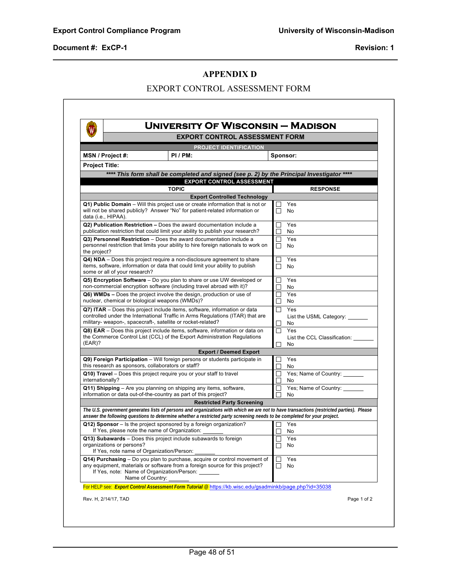$\overline{a}$ 

 $\overline{\phantom{a}}$ 

#### **APPENDIX D**

# EXPORT CONTROL ASSESSMENT FORM

| W                     |                                                                        |                                                                                                                                                          | UNIVERSITY OF WISCONSIN — MADISON   |                     |                                                                                                                                          |  |  |  |
|-----------------------|------------------------------------------------------------------------|----------------------------------------------------------------------------------------------------------------------------------------------------------|-------------------------------------|---------------------|------------------------------------------------------------------------------------------------------------------------------------------|--|--|--|
|                       |                                                                        | <b>EXPORT CONTROL ASSESSMENT FORM</b>                                                                                                                    |                                     |                     |                                                                                                                                          |  |  |  |
|                       |                                                                        |                                                                                                                                                          | PROJECT IDENTIFICATION              |                     |                                                                                                                                          |  |  |  |
|                       | MSN / Project #:                                                       | PI/PM:                                                                                                                                                   |                                     |                     | Sponsor:                                                                                                                                 |  |  |  |
| <b>Project Title:</b> |                                                                        |                                                                                                                                                          |                                     |                     |                                                                                                                                          |  |  |  |
|                       |                                                                        | **** This form shall be completed and signed (see p. 2) by the Principal Investigator                                                                    |                                     |                     |                                                                                                                                          |  |  |  |
|                       |                                                                        | <b>EXPORT CONTROL ASSESSMENT</b><br><b>TOPIC</b>                                                                                                         |                                     |                     |                                                                                                                                          |  |  |  |
|                       |                                                                        |                                                                                                                                                          | <b>Export Controlled Technology</b> |                     | <b>RESPONSE</b>                                                                                                                          |  |  |  |
|                       |                                                                        | Q1) Public Domain - Will this project use or create information that is not or                                                                           |                                     |                     | Yes                                                                                                                                      |  |  |  |
|                       |                                                                        | will not be shared publicly? Answer "No" for patient-related information or                                                                              |                                     | П                   | No                                                                                                                                       |  |  |  |
|                       | data (i.e., HIPAA).                                                    |                                                                                                                                                          |                                     |                     |                                                                                                                                          |  |  |  |
|                       |                                                                        | Q2) Publication Restriction - Does the award documentation include a<br>publication restriction that could limit your ability to publish your research?  |                                     | П                   | Yes<br>No                                                                                                                                |  |  |  |
|                       |                                                                        | Q3) Personnel Restriction - Does the award documentation include a                                                                                       |                                     | □                   | Yes                                                                                                                                      |  |  |  |
|                       |                                                                        | personnel restriction that limits your ability to hire foreign nationals to work on                                                                      |                                     | П                   | No                                                                                                                                       |  |  |  |
| the project?          |                                                                        |                                                                                                                                                          |                                     |                     |                                                                                                                                          |  |  |  |
|                       |                                                                        | Q4) NDA – Does this project require a non-disclosure agreement to share<br>items, software, information or data that could limit your ability to publish |                                     | ×<br>$\blacksquare$ | Yes<br>No                                                                                                                                |  |  |  |
|                       | some or all of your research?                                          |                                                                                                                                                          |                                     |                     |                                                                                                                                          |  |  |  |
|                       |                                                                        | $Q5$ ) Encryption Software – Do you plan to share or use UW developed or                                                                                 |                                     | $\Box$              | Yes                                                                                                                                      |  |  |  |
|                       |                                                                        | non-commercial encryption software (including travel abroad with it)?                                                                                    |                                     | $\Box$<br>П         | No<br>Yes                                                                                                                                |  |  |  |
|                       |                                                                        | Q6) WMDs – Does the project involve the design, production or use of<br>nuclear, chemical or biological weapons (WMDs)?                                  |                                     | $\Box$              | No                                                                                                                                       |  |  |  |
|                       |                                                                        | Q7) ITAR - Does this project include items, software, information or data                                                                                |                                     | П                   | Yes                                                                                                                                      |  |  |  |
|                       |                                                                        | controlled under the International Traffic in Arms Regulations (ITAR) that are                                                                           |                                     |                     | List the USML Category: _______                                                                                                          |  |  |  |
|                       |                                                                        | military- weapon-, spacecraft-, satellite or rocket-related?                                                                                             |                                     | $\Box$              | No<br>Yes                                                                                                                                |  |  |  |
|                       |                                                                        | Q8) EAR – Does this project include items, software, information or data on<br>the Commerce Control List (CCL) of the Export Administration Regulations  |                                     |                     | List the CCL Classification:                                                                                                             |  |  |  |
| (EAR)?                |                                                                        |                                                                                                                                                          |                                     | ×.                  | No                                                                                                                                       |  |  |  |
|                       |                                                                        |                                                                                                                                                          | <b>Export / Deemed Export</b>       |                     |                                                                                                                                          |  |  |  |
|                       |                                                                        | Q9) Foreign Participation - Will foreign persons or students participate in<br>this research as sponsors, collaborators or staff?                        |                                     |                     | Yes                                                                                                                                      |  |  |  |
|                       |                                                                        | Q10) Travel - Does this project require you or your staff to travel                                                                                      |                                     | П                   | No<br>Yes; Name of Country:                                                                                                              |  |  |  |
| internationally?      |                                                                        |                                                                                                                                                          |                                     |                     | No                                                                                                                                       |  |  |  |
|                       |                                                                        | Q11) Shipping - Are you planning on shipping any items, software,                                                                                        |                                     | $\Box$              | Yes; Name of Country:                                                                                                                    |  |  |  |
|                       |                                                                        | information or data out-of-the-country as part of this project?                                                                                          |                                     |                     | No                                                                                                                                       |  |  |  |
|                       |                                                                        |                                                                                                                                                          | <b>Restricted Party Screening</b>   |                     |                                                                                                                                          |  |  |  |
|                       |                                                                        | answer the following questions to determine whether a restricted party screening needs to be completed for your project.                                 |                                     |                     | The U.S. government generates lists of persons and organizations with which we are not to have transactions (restricted parties). Please |  |  |  |
|                       |                                                                        | Q12) Sponsor – Is the project sponsored by a foreign organization?                                                                                       |                                     |                     | Yes                                                                                                                                      |  |  |  |
|                       |                                                                        | If Yes, please note the name of Organization:                                                                                                            |                                     | П                   | No                                                                                                                                       |  |  |  |
|                       |                                                                        | Q13) Subawards - Does this project include subawards to foreign                                                                                          |                                     |                     | Yes                                                                                                                                      |  |  |  |
|                       | organizations or persons?<br>If Yes, note name of Organization/Person: |                                                                                                                                                          |                                     | H                   | No                                                                                                                                       |  |  |  |
|                       |                                                                        | Q14) Purchasing – Do you plan to purchase, acquire or control movement of                                                                                |                                     | $\Box$              | Yes                                                                                                                                      |  |  |  |
|                       |                                                                        | any equipment, materials or software from a foreign source for this project?                                                                             |                                     | $\Box$              | No                                                                                                                                       |  |  |  |
|                       | Name of Country:                                                       | If Yes, note: Name of Organization/Person:                                                                                                               |                                     |                     |                                                                                                                                          |  |  |  |
|                       |                                                                        | For HELP see: Export Control Assessment Form Tutorial @ https://kb.wisc.edu/gsadminkb/page.php?id=35038                                                  |                                     |                     |                                                                                                                                          |  |  |  |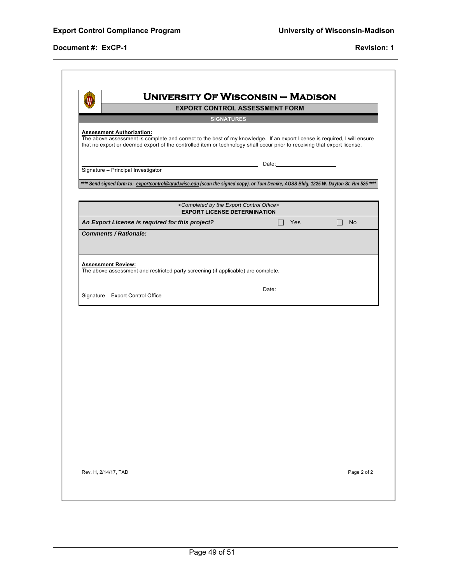$\overline{a}$ 

| <b>UNIVERSITY OF WISCONSIN - MADISON</b>                                                                                                                                                                                                                                                  |                                                                                                                                                                                                                                |               |
|-------------------------------------------------------------------------------------------------------------------------------------------------------------------------------------------------------------------------------------------------------------------------------------------|--------------------------------------------------------------------------------------------------------------------------------------------------------------------------------------------------------------------------------|---------------|
|                                                                                                                                                                                                                                                                                           | <b>EXPORT CONTROL ASSESSMENT FORM</b>                                                                                                                                                                                          |               |
| <b>SIGNATURES</b>                                                                                                                                                                                                                                                                         |                                                                                                                                                                                                                                |               |
| <b>Assessment Authorization:</b><br>The above assessment is complete and correct to the best of my knowledge. If an export license is required, I will ensure<br>that no export or deemed export of the controlled item or technology shall occur prior to receiving that export license. |                                                                                                                                                                                                                                |               |
| Signature - Principal Investigator                                                                                                                                                                                                                                                        | Date: the contract of the contract of the contract of the contract of the contract of the contract of the contract of the contract of the contract of the contract of the contract of the contract of the contract of the cont |               |
|                                                                                                                                                                                                                                                                                           |                                                                                                                                                                                                                                |               |
| **** Send signed form to: exportcontrol@grad.wisc.edu (scan the signed copy), or Tom Demke, AOSS Bldg, 1225 W. Dayton St, Rm 525 ****                                                                                                                                                     |                                                                                                                                                                                                                                |               |
| <completed by="" control="" export="" office="" the=""><br/><b>EXPORT LICENSE DETERMINATION</b></completed>                                                                                                                                                                               |                                                                                                                                                                                                                                |               |
| An Export License is required for this project?                                                                                                                                                                                                                                           | $\Box$<br>Yes                                                                                                                                                                                                                  | $\Box$<br>No. |
| <b>Comments / Rationale:</b>                                                                                                                                                                                                                                                              |                                                                                                                                                                                                                                |               |
|                                                                                                                                                                                                                                                                                           |                                                                                                                                                                                                                                |               |
| <u> 1989 - Johann Barn, mars ann an t-Alban ann an t-Alban ann an t-Alban ann an t-Alban ann an t-Alban ann an t-</u><br>Signature - Export Control Office                                                                                                                                | Date: the contract of the contract of the contract of the contract of the contract of the contract of the contract of the contract of the contract of the contract of the contract of the contract of the contract of the cont |               |
|                                                                                                                                                                                                                                                                                           |                                                                                                                                                                                                                                |               |
|                                                                                                                                                                                                                                                                                           |                                                                                                                                                                                                                                |               |
|                                                                                                                                                                                                                                                                                           |                                                                                                                                                                                                                                |               |
|                                                                                                                                                                                                                                                                                           |                                                                                                                                                                                                                                |               |
|                                                                                                                                                                                                                                                                                           |                                                                                                                                                                                                                                |               |
|                                                                                                                                                                                                                                                                                           |                                                                                                                                                                                                                                |               |
|                                                                                                                                                                                                                                                                                           |                                                                                                                                                                                                                                |               |
|                                                                                                                                                                                                                                                                                           |                                                                                                                                                                                                                                |               |
|                                                                                                                                                                                                                                                                                           |                                                                                                                                                                                                                                |               |
|                                                                                                                                                                                                                                                                                           |                                                                                                                                                                                                                                |               |
|                                                                                                                                                                                                                                                                                           |                                                                                                                                                                                                                                |               |
|                                                                                                                                                                                                                                                                                           |                                                                                                                                                                                                                                |               |
|                                                                                                                                                                                                                                                                                           |                                                                                                                                                                                                                                |               |
|                                                                                                                                                                                                                                                                                           |                                                                                                                                                                                                                                |               |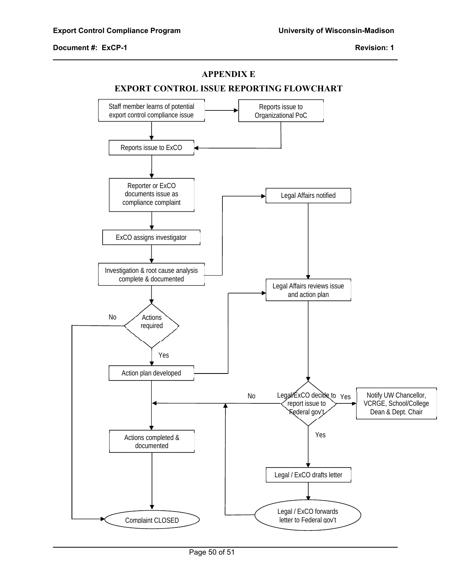$\overline{a}$ 

#### **APPENDIX E**



Page 50 of 51